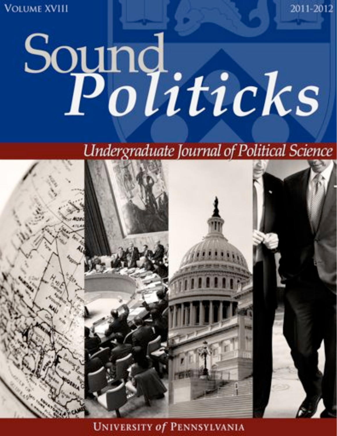**VOLUME XVIII** 

# Sound<br>Politicks

Undergraduate Journal of Political Science

2011-2012



**UNIVERSITY of PENNSYLVANIA**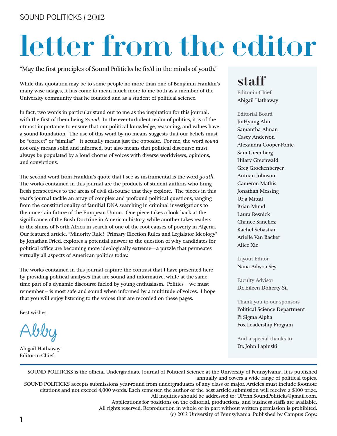## letter from the editor

"May the first principles of Sound Politicks be fix'd in the minds of youth."

While this quotation may be to some people no more than one of Benjamin Franklin's many wise adages, it has come to mean much more to me both as a member of the University community that he founded and as a student of political science.

In fact, two words in particular stand out to me as the inspiration for this journal, with the first of them being *Sound*. In the ever-turbulent realm of politics, it is of the utmost importance to ensure that our political knowledge, reasoning, and values have a sound foundation. The use of this word by no means suggests that our beliefs must be "correct" or "similar"—it actually means just the opposite. For me, the word *sound* not only means solid and informed, but also means that political discourse must always be populated by a loud chorus of voices with diverse worldviews, opinions, and convictions.

The second word from Franklin's quote that I see as instrumental is the word *youth*. The works contained in this journal are the products of student authors who bring fresh perspectives to the areas of civil discourse that they explore. The pieces in this year's journal tackle an array of complex and profound political questions, ranging from the constitutionality of familial DNA searching in criminal investigations to the uncertain future of the European Union. One piece takes a look back at the significance of the Bush Doctrine in American history, while another takes readers to the slums of North Africa in search of one of the root causes of poverty in Algeria. Our featured article, "Minority Rule? Primary Election Rules and Legislator Ideology" by Jonathan Fried, explores a potential answer to the question of why candidates for political office are becoming more ideologically extreme—a puzzle that permeates virtually all aspects of American politics today.

The works contained in this journal capture the contrast that I have presented here by providing political analyses that are sound and informative, while at the same time part of a dynamic discourse fueled by young enthusiasm. Politics – we must remember – is most safe and sound when informed by a multitude of voices. I hope that you will enjoy listening to the voices that are recorded on these pages.

Best wishes,

Abby

Abigail Hathaway Editor-in-Chief

#### staff

Editor-in-Chief Abigail Hathaway

Editorial Board JinHyung Ahn Samantha Alman Casey Anderson Alexandra Cooper-Ponte Sam Greenberg Hilary Greenwald Greg Grockenberger Antuan Johnson Cameron Mathis Jonathan Messing Urja Mittal Brian Mund Laura Resnick Chance Sanchez Rachel Sebastian Arielle Van Backer Alice Xie

Layout Editor Nana Adwoa Sey

Faculty Advisor Dr. Eileen Doherty-Sil

Thank you to our sponsors Political Science Department Pi Sigma Alpha Fox Leadership Program

And a special thanks to Dr. John Lapinski

SOUND POLITICKS is the official Undergraduate Journal of Political Science at the University of Pennsylvania. It is published annually and covers a wide range of political topics. SOUND POLITICKS accepts submissions year-round from undergraduates of any class or major. Articles must include footnote citations and not exceed 4,000 words. Each semester, the author of the best article submission will receive a \$100 prize. All inquiries should be addressed to: UPenn.SoundPoliticks@gmail.com. Applications for positions on the editorial, productions, and business staffs are available. All rights reserved. Reproduction in whole or in part without written permission is prohibited. (c) 2012 University of Pennsylvania. Published by Campus Copy.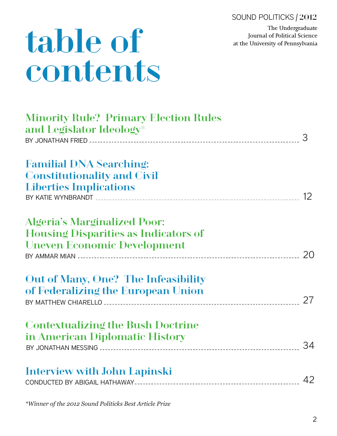SOUND POLITICKS | 2012

The Undergraduate Journal of Political Science at the University of Pennsylvania

## table of contents

| <b>Minority Rule? Primary Election Rules</b><br>and Legislator Ideology*                                                 |    |
|--------------------------------------------------------------------------------------------------------------------------|----|
| <b>Familial DNA Searching:</b><br><b>Constitutionality and Civil</b><br><b>Liberties Implications</b>                    |    |
| <b>Algeria's Marginalized Poor:</b><br><b>Housing Disparities as Indicators of</b><br><b>Uneven Economic Development</b> |    |
| Out of Many, One? The Infeasibility<br>of Federalizing the European Union                                                |    |
| <b>Contextualizing the Bush Doctrine</b><br>in American Diplomatic History                                               | 34 |
| <b>Interview with John Lapinski</b>                                                                                      | 42 |

 $*$ Winner of the 2012 Sound Politicks Best Article Prize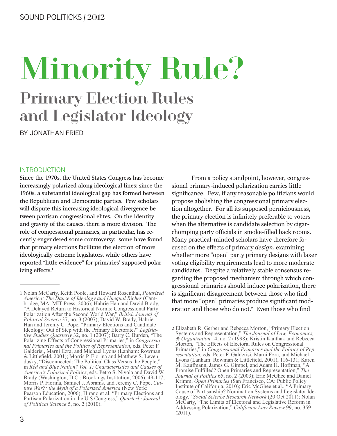## Minority Rule? **Primary Election Rules** and Legislator Ideology

BY JONATHAN FRIED

#### **INTRODUCTION**

Since the 1970s, the United States Congress has become increasingly polarized along ideological lines; since the 1960s, a substantial ideological gap has formed between the Republican and Democratic parties. Few scholars will dispute this increasing ideological divergence between partisan congressional elites. On the identity and gravity of the causes, there is more division. The role of congressional primaries, in particular, has recently engendered some controversy: some have found that primary elections facilitate the election of more ideologically extreme legislators, while others have reported "little evidence" for primaries' supposed polarizing effects.<sup>1</sup>

From a policy standpoint, however, congressional primary-induced polarization carries little significance. Few, if any reasonable politicians would propose abolishing the congressional primary election altogether. For all its supposed perniciousness, the primary election is infinitely preferable to voters when the alternative is candidate selection by cigarchomping party officials in smoke-filled back rooms. Many practical-minded scholars have therefore focused on the effects of primary *design*, examining whether more "open" party primary designs with laxer voting eligibility requirements lead to more moderate candidates. Despite a relatively stable consensus regarding the proposed mechanism through which congressional primaries should induce polarization, there is significant disagreement between those who find that more "open" primaries produce significant moderation and those who do not.<sup>2</sup> Even those who find

<sup>1</sup> Nolan McCarty, Keith Poole, and Howard Rosenthal, Polarized America: The Dance of Ideology and Unequal Riches (Cambridge, MA: MIT Press, 2006); Hahrie Han and David Brady, ontige, MA. M11 Fress, 2000), Hallie Hall and David Blady,<br>
"A Delayed Return to Historical Norms: Congressional Party<br>
Polarization After the Second World War," *British Journal of*<br> *Political Science* 37, no. 3 (2007); nal Primaries and the Politics of Representation, eds. Peter F.<br>Galderisi, Marni Ezra, and Michael Lyons (Lanham: Rowman & Littlefield, 2001); Morris P. Fiorina and Matthew S. Levendusky, "Disconnected: The Political Class Versus the People," in Red and Blue Nation? Vol. 1: Characteristics and Causes of *America's Polarized Politics, eds. Petro S. Nivola and David W.*<br>Brady (Washington, D.C.: Brookings Institution, 2006), 49-117;<br>Morris P. Fiorina, Samuel J. Abrams, and Jeremy C. Pope, *Cul*ture War?: the Myth of a Polarized America (New York: Pearson Education, 2006); Hirano et al. "Primary Elections and Partisan Polarization in the U.S Congress," Quarterly Journal of Political Science 5, no. 2 (2010).

<sup>2</sup> Elizabeth R. Gerber and Rebecca Morton, "Primary Election<br>Systems and Representation," The Journal of Law, Economics,<br>& Organization 14, no. 2 (1998); Kristin Kanthak and Rebecca Morton, "The Effects of Electoral Rules on Congressional Primaries," in Congressional Primaries and the Politics of Representation, eds. Peter F. Galderisi, Marni Ezra, and Michael<br>Lyons (Lanham: Rowman & Littlefield, 2001), 116-131; Karen M. Kaufmann, James G. Gimpel, and Adam H. Hoffman, "A Promise Fulfilled? Open Primaries and Representation," The Promise Fullmed? Open Primaries and Representation, *The Journal of Politics* 65, no. 2 (2003); Eric McGhee and Daniel Krimm, *Open Primaries* (San Francisco, CA: Public Policy Institute of California, 2010); Eric McGhee e McCarty, "The Limits of Electoral and Legislative Reform in<br>Addressing Polarization," California Law Review 99, no. 359  $(2011).$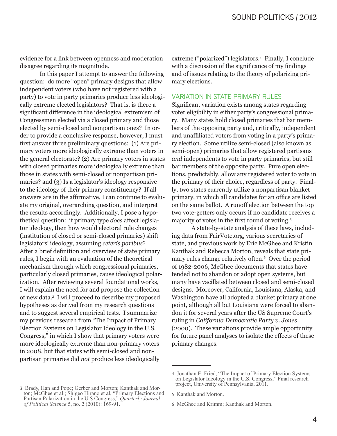evidence for a link between openness and moderation disagree regarding its magnitude.

In this paper I attempt to answer the following question: do more "open" primary designs that allow independent voters (who have not registered with a party) to vote in party primaries produce less ideologically extreme elected legislators? That is, is there a significant difference in the ideological extremism of Congressmen elected via a closed primary and those elected by semi-closed and nonpartisan ones? In order to provide a conclusive response, however, I must first answer three preliminary questions: (1) Are primary voters more ideologically extreme than voters in the general electorate? (2) Are primary voters in states with closed primaries more ideologically extreme than those in states with semi-closed or nonpartisan primaries? and (3) Is a legislator's ideology responsive to the ideology of their primary constituency? If all answers are in the affirmative, I can continue to evaluate my original, overarching question, and interpret the results accordingly. Additionally, I pose a hypothetical question: if primary type *does* affect legislator ideology, then how would electoral rule changes (institution of closed or semi-closed primaries) shift legislators' ideology, assuming ceteris paribus? After a brief definition and overview of state primary rules, I begin with an evaluation of the theoretical mechanism through which congressional primaries, particularly closed primaries, cause ideological polarization. After reviewing several foundational works, I will explain the need for and propose the collection of new data.<sup>3</sup> I will proceed to describe my proposed hypotheses as derived from my research questions and to suggest several empirical tests. I summarize my previous research from "The Impact of Primary Election Systems on Legislator Ideology in the U.S. Congress," in which I show that primary voters were more ideologically extreme than non-primary voters in 2008, but that states with semi-closed and nonpartisan primaries did not produce less ideologically

extreme ("polarized") legislators.<sup>4</sup> Finally, I conclude with a discussion of the significance of my findings and of issues relating to the theory of polarizing primary elections.

#### **VARIATION IN STATE PRIMARY RULES**

Significant variation exists among states regarding voter eligibility in either party's congressional primary. Many states hold closed primaries that bar members of the opposing party and, critically, independent and unaffiliated voters from voting in a party's primary election. Some utilize semi-closed (also known as semi-open) primaries that allow registered partisans and independents to vote in party primaries, but still bar members of the opposite party. Pure open elections, predictably, allow any registered voter to vote in the primary of their choice, regardless of party. Finally, two states currently utilize a nonpartisan blanket primary, in which all candidates for an office are listed on the same ballot. A runoff election between the top two vote-getters only occurs if no candidate receives a majority of votes in the first round of voting.<sup>5</sup>

A state-by-state analysis of these laws, including data from FairVote.org, various secretaries of state, and previous work by Eric McGhee and Kristin Kanthak and Rebecca Morton, reveals that state primary rules change relatively often.<sup>6</sup> Over the period of 1982-2006, McGhee documents that states have tended not to abandon or adopt open systems, but many have vacillated between closed and semi-closed designs. Moreover, California, Louisiana, Alaska, and Washington have all adopted a blanket primary at one point, although all but Louisiana were forced to abandon it for several years after the US Supreme Court's ruling in California Democratic Party v. Jones (2000). These variations provide ample opportunity for future panel analyses to isolate the effects of these primary changes.

<sup>3</sup> Brady, Han and Pope; Gerber and Morton; Kanthak and Morton; McGhee et al.; Shigeo Hirano et al., "Primary Elections and Partisan Polarization in the U.S Congress," Quarterly Journal<br>of Political Science 5, no. 2 (2010): 169-91.

<sup>4</sup> Jonathan E. Fried, "The Impact of Primary Election Systems on Legislator Ideology in the U.S. Congress," Final research project, University of Pennsylvania, 2011.

<sup>5</sup> Kanthak and Morton.

<sup>6</sup> McGhee and Krimm: Kanthak and Morton.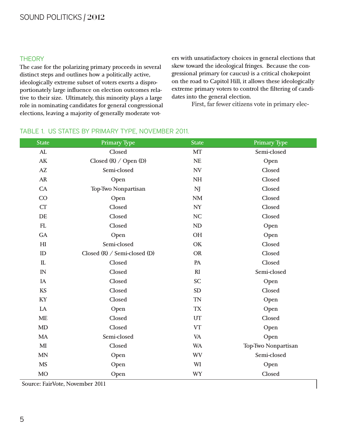#### SOUND POLITICKS | 2012

#### **THEORY**

The case for the polarizing primary proceeds in several distinct steps and outlines how a politically active, ideologically extreme subset of voters exerts a disproportionately large influence on election outcomes relative to their size. Ultimately, this minority plays a large role in nominating candidates for general congressional elections, leaving a majority of generally moderate voters with unsatisfactory choices in general elections that skew toward the ideological fringes. Because the congressional primary (or caucus) is a critical chokepoint on the road to Capitol Hill, it allows these ideologically extreme primary voters to control the filtering of candidates into the general election.

First, far fewer citizens vote in primary elec-

| <b>State</b>               | Primary Type                 | <b>State</b>  | Primary Type        |
|----------------------------|------------------------------|---------------|---------------------|
| AL                         | Closed                       | MT            | Semi-closed         |
| AK                         | Closed $(R)$ / Open $(D)$    | $\rm NE$      | Open                |
| AZ                         | Semi-closed                  | <b>NV</b>     | Closed              |
| <b>AR</b>                  | Open                         | NH            | Closed              |
| CA                         | Top-Two Nonpartisan          | <b>NJ</b>     | Closed              |
| CO                         | Open                         | $\mathbf{NM}$ | Closed              |
| CT                         | Closed                       | NY            | Closed              |
| DE                         | Closed                       | NC            | Closed              |
| ${\rm FL}$                 | Closed                       | <b>ND</b>     | Open                |
| <b>GA</b>                  | Open                         | OH            | Open                |
| $\mathop{\rm HI}\nolimits$ | Semi-closed                  | <b>OK</b>     | Closed              |
| ID                         | Closed (R) / Semi-closed (D) | <b>OR</b>     | Closed              |
| IL                         | Closed                       | PA            | Closed              |
| IN                         | Closed                       | R1            | Semi-closed         |
| IA                         | Closed                       | <b>SC</b>     | Open                |
| <b>KS</b>                  | Closed                       | SD            | Closed              |
| KY                         | Closed                       | <b>TN</b>     | Open                |
| LA                         | Open                         | <b>TX</b>     | Open                |
| <b>ME</b>                  | Closed                       | UT            | Closed              |
| MD                         | Closed                       | <b>VT</b>     | Open                |
| <b>MA</b>                  | Semi-closed                  | <b>VA</b>     | Open                |
| MI                         | Closed                       | <b>WA</b>     | Top-Two Nonpartisan |
| <b>MN</b>                  | Open                         | <b>WV</b>     | Semi-closed         |
| <b>MS</b>                  | Open                         | WI            | Open                |
| <b>MO</b>                  | Open                         | <b>WY</b>     | Closed              |

#### TABLE 1. US STATES BY PRIMARY TYPE, NOVEMBER 2011.

Source: FairVote, November 2011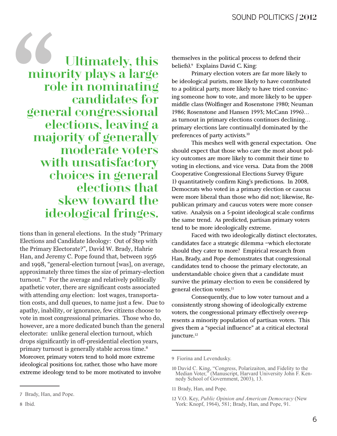**Ultimately**, this minority plays a large role in nominating candidates for general congressional elections, leaving a majority of generally moderate voters with unsatisfactory choices in general elections that skew toward the ideological fringes.

tions than in general elections. In the study "Primary Elections and Candidate Ideology: Out of Step with the Primary Electorate?", David W. Brady, Hahrie Han, and Jeremy C. Pope found that, between 1956 and 1998, "general-election turnout [was], on average, approximately three times the size of primary-election turnout." For the average and relatively politically apathetic voter, there are significant costs associated with attending *any* election: lost wages, transportation costs, and dull queues, to name just a few. Due to apathy, inability, or ignorance, few citizens choose to vote in most congressional primaries. Those who do, however, are a more dedicated bunch than the general electorate: unlike general election turnout, which drops significantly in off-presidential election years, primary turnout is generally stable across time.<sup>8</sup> Moreover, primary voters tend to hold more extreme ideological positions (or, rather, those who have more extreme ideology tend to be more motivated to involve

themselves in the political process to defend their beliefs).<sup>9</sup> Explains David C. King:

Primary election voters are far more likely to be ideological purists, more likely to have contributed to a political party, more likely to have tried convincing someone how to vote, and more likely to be uppermiddle class (Wolfinger and Rosenstone 1980; Neuman 1986; Rosenstone and Hansen 1993; McCann 1996)... as turnout in primary elections continues declining... primary elections [are continually] dominated by the preferences of party activists.<sup>10</sup>

This meshes well with general expectation. One should expect that those who care the most about policy outcomes are more likely to commit their time to voting in elections, and vice versa. Data from the 2008 **Cooperative Congressional Elections Survey (Figure** 1) quantitatively confirm King's predictions. In 2008, Democrats who voted in a primary election or caucus were more liberal than those who did not; likewise, Republican primary and caucus voters were more conservative. Analysis on a 5-point ideological scale confirms the same trend. As predicted, partisan primary voters tend to be more ideologically extreme.

Faced with two ideologically distinct electorates, candidates face a strategic dilemma -which electorate should they cater to more? Empirical research from Han, Brady, and Pope demonstrates that congressional candidates tend to choose the primary electorate, an understandable choice given that a candidate must survive the primary election to even be considered by general election voters.<sup>11</sup>

Consequently, due to low voter turnout and a consistently strong showing of ideologically extreme voters, the congressional primary effectively over-represents a minority population of partisan voters. This gives them a "special influence" at a critical electoral juncture.<sup>12</sup>

11 Brady, Han, and Pope.

<sup>7</sup> Brady, Han, and Pope.

<sup>8</sup> Ibid.

<sup>9</sup> Fiorina and Levendusky.

<sup>10</sup> David C. King, "Congress, Polarizaiton, and Fidelity to the Median Voter," (Manuscript, Harvard University John F. Kennedy School of Government, 2003), 13.

<sup>12</sup> V.O. Key, Public Opinion and American Democracy (New York: Knopf, 1964), 581; Brady, Han, and Pope, 91.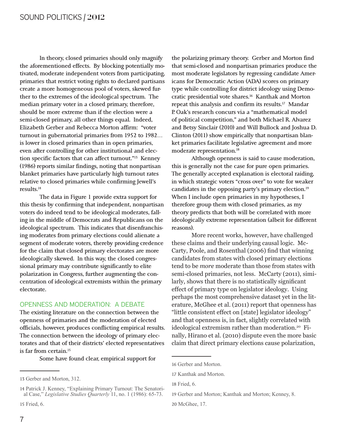In theory, closed primaries should only magnify the aforementioned effects. By blocking potentially motivated, moderate independent voters from participating, primaries that restrict voting rights to declared partisans create a more homogeneous pool of voters, skewed further to the extremes of the ideological spectrum. The median primary voter in a closed primary, therefore, should be more extreme than if the election were a semi-closed primary, all other things equal. Indeed, Elizabeth Gerber and Rebecca Morton affirm: "voter turnout in gubernatorial primaries from 1952 to 1982... is lower in closed primaries than in open primaries, even after controlling for other institutional and election specific factors that can affect turnout."<sup>13</sup> Kenney (1986) reports similar findings, noting that nonpartisan blanket primaries have particularly high turnout rates relative to closed primaries while confirming Jewell's results. $^{14}$ 

The data in Figure 1 provide extra support for this thesis by confirming that independent, nonpartisan voters do indeed tend to be ideological moderates, falling in the middle of Democrats and Republicans on the ideological spectrum. This indicates that disenfranchising moderates from primary elections could alienate a segment of moderate voters, thereby providing credence for the claim that closed primary electorates are more ideologically skewed. In this way, the closed congressional primary may contribute significantly to elite polarization in Congress, further augmenting the concentration of ideological extremists within the primary electorate.

#### **OPENNESS AND MODERATION: A DEBATE**

The existing literature on the connection between the openness of primaries and the moderation of elected officials, however, produces conflicting empirical results. The connection between the ideology of primary electorates and that of their districts' elected representatives is far from certain.<sup>15</sup>

Some have found clear, empirical support for

the polarizing primary theory. Gerber and Morton find that semi-closed and nonpartisan primaries produce the most moderate legislators by regressing candidate Americans for Democratic Action (ADA) scores on primary type while controlling for district ideology using Democratic presidential vote shares.<sup>16</sup> Kanthak and Morton repeat this analysis and confirm its results.<sup>17</sup> Mandar P. Oak's research concurs via a "mathematical model of political competition," and both Michael R. Alvarez and Betsy Sinclair (2010) and Will Bullock and Joshua D. Clinton (2011) show empirically that nonpartisan blanket primaries facilitate legislative agreement and more moderate representation.<sup>18</sup>

Although openness is said to cause moderation, this is generally not the case for pure open primaries. The generally accepted explanation is electoral raiding, in which strategic voters "cross over" to vote for weaker candidates in the opposing party's primary election.<sup>19</sup> When I include open primaries in my hypotheses, I therefore group them with closed primaries, as my theory predicts that both will be correlated with more ideologically extreme representation (albeit for different reasons).

More recent works, however, have challenged these claims and their underlying causal logic. Mc-Carty, Poole, and Rosenthal (2006) find that winning candidates from states with closed primary elections tend to be *more* moderate than those from states with semi-closed primaries, not less. McCarty (2011), similarly, shows that there is no statistically significant effect of primary type on legislator ideology. Using perhaps the most comprehensive dataset yet in the literature, McGhee et al. (2011) report that openness has "little consistent effect on [state] legislator ideology" and that openness is, in fact, slightly correlated with ideological extremism rather than moderation.<sup>20</sup> Finally, Hirano et al. (2010) dispute even the more basic claim that direct primary elections cause polarization,

<sup>13</sup> Gerber and Morton, 312.

<sup>14</sup> Patrick J. Kenney, "Explaining Primary Turnout: The Senatorial Case," Legislative Studies Quarterly 11, no. 1 (1986): 65-73.

<sup>16</sup> Gerber and Morton.

<sup>17</sup> Kanthak and Morton.

<sup>18</sup> Fried, 6.

<sup>19</sup> Gerber and Morton; Kanthak and Morton; Kenney, 8.

<sup>20</sup> McGhee, 17.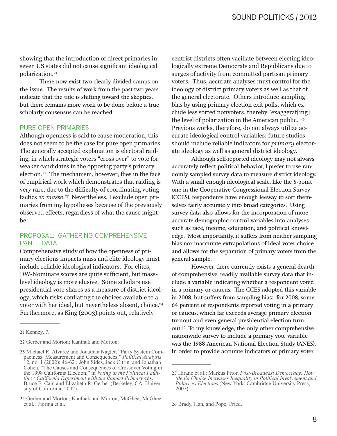showing that the introduction of direct primaries in seven US states did not cause significant ideological polarization.<sup>21</sup>

There now exist two clearly divided camps on the issue. The results of work from the past two years indicate that the tide is shifting toward the skeptics, but there remains more work to be done before a true scholarly consensus can be reached.

#### **PURE OPEN PRIMARIES**

Although openness is said to cause moderation, this does not seem to be the case for pure open primaries. The generally accepted explanation is electoral raiding, in which strategic voters "cross over" to vote for weaker candidates in the opposing party's primary election.<sup>22</sup> The mechanism, however, flies in the face of empirical work which demonstrates that raiding is very rare, due to the difficulty of coordinating voting tactics en masse.<sup>23</sup> Nevertheless, I exclude open primaries from my hypotheses because of the previously observed effects, regardless of what the cause might be.

#### PROPOSAL: GATHERING COMPREHENSIVE **PANEL DATA**

Comprehensive study of how the openness of primary elections impacts mass and elite ideology must include reliable ideological indicators. For elites, DW-Nominate scores are quite sufficient, but masslevel ideology is more elusive. Some scholars use presidential vote shares as a measure of district ideology, which risks conflating the choices available to a voter with her ideal, but nevertheless absent, choice.<sup>24</sup> Furthermore, as King (2003) points out, relatively

centrist districts often vacillate between electing ideologically extreme Democrats and Republicans due to surges of activity from committed partisan primary voters. Thus, accurate analyses must control for the ideology of district primary voters as well as that of the general electorate. Others introduce sampling bias by using primary election exit polls, which exclude less sorted nonvoters, thereby "exaggerat[ing] the level of polarization in the American public."<sup>25</sup> Previous works, therefore, do not always utilize accurate ideological control variables; future studies should include reliable indicators for *primary* electorate ideology as well as general district ideology.

Although self-reported ideology may not always accurately reflect political behavior, I prefer to use randomly sampled survey data to measure district ideology. With a small enough ideological scale, like the 5-point one in the Cooperative Congressional Election Survey (CCES), respondents have enough leeway to sort themselves fairly accurately into broad categories. Using survey data also allows for the incorporation of more accurate demographic control variables into analyses such as race, income, education, and political knowledge. Most importantly, it suffers from neither sampling bias nor inaccurate extrapolations of ideal voter choice and allows for the separation of primary voters from the general sample.

However, there currently exists a general dearth of comprehensive, readily available survey data that include a variable indicating whether a respondent voted in a primary or caucus. The CCES adopted this variable in 2008, but suffers from sampling bias: for 2008, some 64 percent of respondents reported voting in a primary or caucus, which far exceeds average primary election turnout and even general presidential election turnout.<sup>26</sup> To my knowledge, the only other comprehensive, nationwide survey to include a primary vote variable was the 1988 American National Election Study (ANES). In order to provide accurate indicators of primary voter

<sup>21</sup> Kenney, 7.

<sup>22</sup> Gerber and Morton; Kanthak and Morton.

<sup>23</sup> Michael R. Alvarez and Jonathan Nagler, "Party System Compactness: Measurement and Consequences," Political Analysis 12, no. 1 (2002): 46-62 ; John Sides, Jack Citrin, and Jonathan Cohen, "The Causes and Consequences of Crossover Voting in the 1998 California Election," in Voting at the Political Faultline: California Experiment with the Blanket Primary eds. Bruce E. Cain and Elizabeth R. Gerber (Berkeley, CA: University of California, 2002).

<sup>24</sup> Gerber and Morton; Kanthak and Morton; McGhee; McGhee et al.; Fiorina et al.

<sup>25</sup> Hirano et al.; Markus Prior, Post-Broadcast Democracy: How Media Choice Increases Inequality in Political Involvement and *Polarizes Elections* (New York: Cambridge University Press, 2007).

<sup>26</sup> Brady, Han, and Pope; Fried.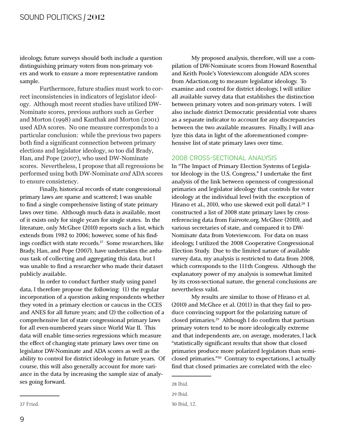ideology, future surveys should both include a question distinguishing primary voters from non-primary voters and work to ensure a more representative random sample.

Furthermore, future studies must work to correct inconsistencies in indicators of legislator ideology. Although most recent studies have utilized DW-Nominate scores, previous authors such as Gerber and Morton (1998) and Kanthak and Morton (2001) used ADA scores. No one measure corresponds to a particular conclusion: while the previous two papers both find a significant connection between primary elections and legislator ideology, so too did Brady, Han, and Pope (2007), who used DW-Nominate scores. Nevertheless, I propose that all regressions be performed using both DW-Nominate and ADA scores to ensure consistency.

Finally, historical records of state congressional primary laws are sparse and scattered; I was unable to find a single comprehensive listing of state primary laws over time. Although much data is available, most of it exists only for single years for single states. In the literature, only McGhee (2010) reports such a list, which extends from 1982 to 2006; however, some of his findings conflict with state records.<sup>27</sup> Some researchers, like Brady, Han, and Pope (2007), have undertaken the arduous task of collecting and aggregating this data, but I was unable to find a researcher who made their dataset publicly available.

In order to conduct further study using panel data, I therefore propose the following: (1) the regular incorporation of a question asking respondents whether they voted in a primary election or caucus in the CCES and ANES for all future years; and (2) the collection of a comprehensive list of state congressional primary laws for all even-numbered years since World War II. This data will enable time-series regressions which measure the effect of changing state primary laws over time on legislator DW-Nominate and ADA scores as well as the ability to control for district ideology in future years. Of course, this will also generally account for more variance in the data by increasing the sample size of analyses going forward.

My proposed analysis, therefore, will use a compilation of DW-Nominate scores from Howard Rosenthal and Keith Poole's Voteview.com alongside ADA scores from Adaction.org to measure legislator ideology. To examine and control for district ideology, I will utilize all available survey data that establishes the distinction between primary voters and non-primary voters. I will also include district Democratic presidential vote shares as a separate indicator to account for any discrepancies between the two available measures. Finally, I will analyze this data in light of the aforementioned comprehensive list of state primary laws over time.

#### 2008 CROSS-SECTIONAL ANALYSIS

In "The Impact of Primary Election Systems of Legislator Ideology in the U.S. Congress," I undertake the first analysis of the link between openness of congressional primaries and legislator ideology that controls for voter ideology at the individual level (with the exception of Hirano et al., 2010, who use skewed exit poll data).<sup>28</sup> I constructed a list of 2008 state primary laws by crossreferencing data from Fairvote.org, McGhee (2010), and various secretaries of state, and compared it to DW-Nominate data from Voteview.com. For data on mass ideology, I utilized the 2008 Cooperative Congressional Election Study. Due to the limited nature of available survey data, my analysis is restricted to data from 2008, which corresponds to the 111th Congress. Although the explanatory power of my analysis is somewhat limited by its cross-sectional nature, the general conclusions are nevertheless valid.

My results are similar to those of Hirano et al. (2010) and McGhee et al. (2011) in that they fail to produce convincing support for the polarizing nature of closed primaries.<sup>29</sup> Although I do confirm that partisan primary voters tend to be more ideologically extreme and that independents are, on average, moderates, I lack "statistically significant results that show that closed primaries produce more polarized legislators than semiclosed primaries."<sup>30</sup> Contrary to expectations, I actually find that closed primaries are correlated with the elec-

<sup>28</sup> Ibid.

<sup>29</sup> Ibid.

<sup>30</sup> Ibid, 12.

<sup>27</sup> Fried.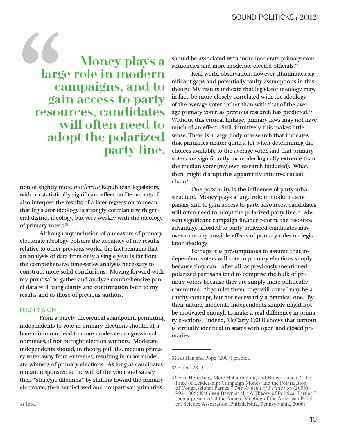Money plays a<br>large role in modern<br>campaigns, and to<br>gain access to party<br>resources, candidates<br>will often need to<br>adont the polarized large role in modern campaigns, and to gain access to party resources, candidates will often need to adopt the polarized party line.

tion of slightly more *moderate* Republican legislators, with no statistically significant effect on Democrats. I also interpret the results of a later regression to mean that legislator ideology is strongly correlated with general district ideology, but very weakly with the ideology of primary voters.31

Although my inclusion of a measure of primary electorate ideology bolsters the accuracy of my results relative to other previous works, the fact remains that an analysis of data from only a single year is far from the comprehensive time-series analysis necessary to construct more solid conclusions. Moving forward with my proposal to gather and analyze comprehensive panel data will bring clarity and confirmation both to my results and to those of previous authors.

#### **DISCUSSION**

From a purely theoretical standpoint, permitting independents to vote in primary elections should, at a bare minimum, lead to more moderate congressional nominees, if not outright election winners. Moderate independents should, in theory, pull the median primary voter away from extremes, resulting in more moderate winners of primary elections. As long as candidates remain responsive to the will of the voter and satisfy their "strategic dilemma" by shifting toward the primary electorate, then semi-closed and nonpartisan primaries

should be associated with more moderate primary constituencies and more moderate elected officials.<sup>32</sup>

Real-world observation, however, illuminates significant gaps and potentially faulty assumptions in this theory. My results indicate that legislator ideology may, in fact, be more closely correlated with the ideology of the average voter, rather than with that of the average primary voter, as previous research has predicted.<sup>33</sup> Without this critical linkage, primary laws may not have much of an effect. Still, intuitively, this makes little sense. There is a large body of research that indicates that primaries matter quite a lot when determining the choices available to the average voter, and that primary voters are significantly more ideologically extreme than the median voter (my own research included). What, then, might disrupt this apparently intuitive causal chain?

One possibility is the influence of party infrastructure. Money plays a large role in modern campaigns, and to gain access to party resources, candidates will often need to adopt the polarized party line.<sup>34</sup> Absent significant campaign finance reform, the resource advantage afforded to party-preferred candidates may overcome any possible effects of primary rules on legislator ideology.

Perhaps it is presumptuous to assume that independent voters will vote in primary elections simply because they can. After all, as previously mentioned, polarized partisans tend to comprise the bulk of primary voters because they are simply more politically committed. "If you let them, they will come" may be a catchy concept, but not necessarily a practical one. By their nature, moderate independents simply might not be motivated enough to make a real difference in primary elections. Indeed, McCarty (2011) shows that turnout is virtually identical in states with open and closed primaries.

<sup>32</sup> As Han and Pope (2007) predict.

<sup>33</sup> Fried, 28, 31.

<sup>34</sup> Eric Heberling, Marc Hetherington, and Bruce Larson, "The Price of Leadership: Campaign Money and the Polarization of Congressional Parties,<sup>3</sup> The Journal of Politics 68 (2006): 992-1005; Kathleen Bawn et al, "A Theory of Political Parties," (paper presented at the Annual Meeting of the American Politi-<br>cal Science Association, Philadelphia, Pennsylvania, 2006).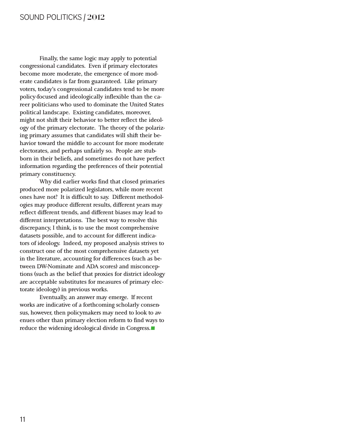#### SOUND POLITICKS | 2012

Finally, the same logic may apply to potential congressional candidates. Even if primary electorates become more moderate, the emergence of more moderate candidates is far from guaranteed. Like primary voters, today's congressional candidates tend to be more policy-focused and ideologically inflexible than the career politicians who used to dominate the United States political landscape. Existing candidates, moreover, might not shift their behavior to better reflect the ideology of the primary electorate. The theory of the polarizing primary assumes that candidates will shift their behavior toward the middle to account for more moderate electorates, and perhaps unfairly so. People are stubborn in their beliefs, and sometimes do not have perfect information regarding the preferences of their potential primary constituency.

Why did earlier works find that closed primaries produced more polarized legislators, while more recent ones have not? It is difficult to say. Different methodologies may produce different results, different years may reflect different trends, and different biases may lead to different interpretations. The best way to resolve this discrepancy, I think, is to use the most comprehensive datasets possible, and to account for different indicators of ideology. Indeed, my proposed analysis strives to construct one of the most comprehensive datasets yet in the literature, accounting for differences (such as between DW-Nominate and ADA scores) and misconceptions (such as the belief that proxies for district ideology are acceptable substitutes for measures of primary electorate ideology) in previous works.

Eventually, an answer may emerge. If recent works are indicative of a forthcoming scholarly consensus, however, then policymakers may need to look to avenues other than primary election reform to find ways t<br>reduce the widening ideological divide in Congress. enues other than primary election reform to find ways to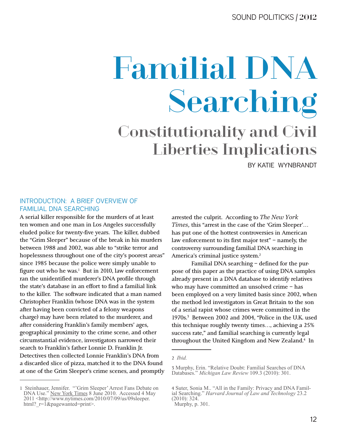## Constitutionality and Civil Liberties Implications Familial DNA Searching

BY KATIE WYNBRANDT

#### INTRODUCTION: A BRIEF OVERVIEW OF FAMILIAL DNA SEARCHING

A serial killer responsible for the murders of at least ten women and one man in Los Angeles successfully eluded police for twenty-five years. The killer, dubbed the "Grim Sleeper" because of the break in his murders between 1988 and 2002, was able to "strike terror and hopelessness throughout one of the city's poorest areas" since 1985 because the police were simply unable to figure out who he was. $1$  But in 2010, law enforcement ran the unidentified murderer's DNA profile through the state's database in an effort to find a familial link to the killer. The software indicated that a man named Christopher Franklin (whose DNA was in the system after having been convicted of a felony weapons charge) may have been related to the murderer, and after considering Franklin's family members' ages, geographical proximity to the crime scene, and other circumstantial evidence, investigators narrowed their search to Franklin's father Lonnie D. Franklin Jr. Detectives then collected Lonnie Franklin's DNA from a discarded slice of pizza, matched it to the DNA found at one of the Grim Sleeper's crime scenes, and promptly

1 Steinhauer, Jennifer. "'Grim Sleeper' Arrest Fans Debate on DNA Use." New York Times 8 June 2010. Accessed 4 May 2011 <http://www.nytimes.com/2010/07/09/us/09sleeper. html?  $r = \hat{1}$  & pagewanted=print>.

arrested the culprit. According to *The New York Times*, this "arrest in the case of the 'Grim Sleeper'... has put one of the hottest controversies in American law enforcement to its first major test" – namely, the controversy surrounding familial DNA searching in America's criminal justice system.<sup>2</sup>

Familial DNA searching – defined for the purpose of this paper as the practice of using DNA samples already present in a DNA database to identify relatives who may have committed an unsolved crime – has been employed on a very limited basis since 2002, when the method led investigators in Great Britain to the son of a serial rapist whose crimes were committed in the 1970s.3 Between 2002 and 2004, "Police in the U.K. used this technique roughly twenty times…, achieving a 25% success rate," and familial searching is currently legal throughout the United Kingdom and New Zealand.<sup>4</sup> In

<sup>2</sup> *Ibid.* 

<sup>3</sup> Murphy, Erin. "Relative Doubt: Familial Searches of DNA Databases." Michigan Law Review 109.3 (2010): 301.

<sup>4</sup> Suter, Sonia M.. "All in the Family: Privacy and DNA Familial Searching." *Harvard Journal of Law and Technology* 23.2  $(2010): 324.$ 

Murphy, p. 301.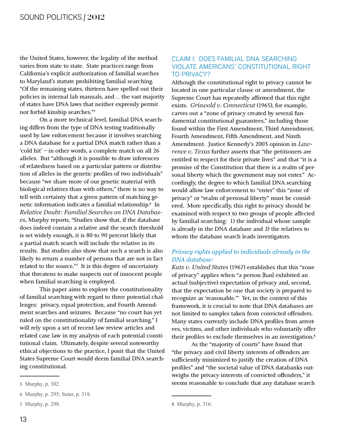the United States, however, the legality of the method varies from state to state. State practices range from California's explicit authorization of familial searches to Maryland's statute prohibiting familial searching. "Of the remaining states, thirteen have spelled out their policies in internal lab manuals, and… the vast majority of states have DNA laws that neither expressly permit nor forbid kinship searches."5

On a more technical level, familial DNA searching differs from the type of DNA testing traditionally used by law enforcement because it involves searching a DNA database for a partial DNA match rather than a 'cold hit' – in other words, a complete match on all 26 alleles. But "although it is possible to draw inferences of relatedness based on a particular pattern or distribution of alleles in the genetic profiles of two individuals" because "we share more of our genetic material with biological relatives than with others," there is no way to tell with certainty that a given pattern of matching genetic information indicates a familial relationship.6 In *Relative Doubt: Familial Searches on DNA Databases*, Murphy reports, "Studies show that, if the database does indeed contain a relative and the search threshold is set widely enough, it is 80 to 90 percent likely that a partial match search will include the relative in its results. But studies also show that such a search is also likely to return a number of persons that are not in fact related to the source."7 It is this degree of uncertainty that threatens to make suspects out of innocent people when familial searching is employed.

This paper aims to explore the constitutionality of familial searching with regard to three potential challenges: privacy, equal protection, and Fourth Amendment searches and seizures. Because "no court has yet ruled on the constitutionality of familial searching," I will rely upon a set of recent law review articles and related case law in my analysis of each potential constitutional claim. Ultimately, despite several noteworthy ethical objections to the practice, I posit that the United States Supreme Court would deem familial DNA searching constitutional.

#### CLAIM I: DOES FAMILIAL DNA SEARCHING VIOLATE AMERICANS' CONSTITUTIONAL RIGHT TO PRIVACY?

Although the constitutional right to privacy cannot be located in one particular clause or amendment, the Supreme Court has repeatedly affirmed that this right exists. *Griswold v. Connecticut* (1965), for example, carves out a "zone of privacy created by several fundamental constitutional guarantees," including those found within the First Amendment, Third Amendment, Fourth Amendment, Fifth Amendment, and Ninth Amendment. Justice Kennedy's 2003 opinion in *Lawrence v. Texas* further asserts that "the petitioners are entitled to respect for their private lives" and that "it is a promise of the Constitution that there is a realm of personal liberty which the government may not enter." Accordingly, the degree to which familial DNA searching would allow law enforcement to "enter" this "zone of privacy" or "realm of personal liberty" must be considered. More specifically, this right to privacy should be examined with respect to two groups of people affected by familial searching: 1) the individual whose sample is already in the DNA database and 2) the relatives to whom the database search leads investigators.

#### *Privacy rights applied to individuals already in the*  $DNA$  database:

*Katz v. United States* (1967) establishes that this "zone of privacy" applies when "a person [has] exhibited an actual (subjective) expectation of privacy and, second, that the expectation be one that society is prepared to recognize as 'reasonable.'" Yet, in the context of this framework, it is crucial to note that DNA databases are not limited to samples taken from convicted offenders. Many states currently include DNA profiles from arrestees, victims, and other individuals who voluntarily offer their profiles to exclude themselves in an investigation.<sup>8</sup>

As the "majority of courts" have found that "the privacy and civil liberty interests of offenders are sufficiently minimized to justify the creation of DNA profiles" and "the societal value of DNA databanks outweighs the privacy interests of convicted offenders," it seems reasonable to conclude that any database search

<sup>5</sup> Murphy, p. 302.

<sup>6</sup> Murphy, p. 295; Suter, p. 318.

<sup>7</sup> Murphy, p. 298.

<sup>8</sup> Murphy, p. 316.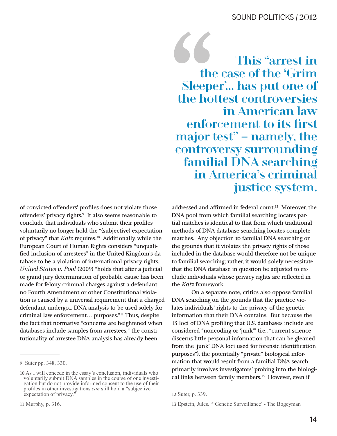This "arrest in the case of the 'Grim Sleeper'... has put one of the hottest controversies in American law enforcement to its first major test" – namely, the controversy surrounding **familial DNA searching** in America's criminal justice system.

of convicted offenders' profiles does not violate those offenders' privacy rights.<sup>9</sup> It also seems reasonable to conclude that individuals who submit their profiles voluntarily no longer hold the "(subjective) expectation of privacy" that Katz requires.<sup>10</sup> Additionally, while the European Court of Human Rights considers "unqualified inclusion of arrestees" in the United Kingdom's database to be a violation of international privacy rights, United States v. Pool (2009) "holds that after a judicial or grand jury determination of probable cause has been made for felony criminal charges against a defendant, no Fourth Amendment or other Constitutional violation is caused by a universal requirement that a charged defendant undergo... DNA analysis to be used solely for criminal law enforcement... purposes."<sup>11</sup> Thus, despite the fact that normative "concerns are heightened when databases include samples from arrestees," the constitutionality of arrestee DNA analysis has already been

11 Murphy, p. 316.

addressed and affirmed in federal court.<sup>12</sup> Moreover, the DNA pool from which familial searching locates partial matches is identical to that from which traditional methods of DNA database searching locates complete matches. Any objection to familial DNA searching on the grounds that it violates the privacy rights of those included in the database would therefore not be unique to familial searching; rather, it would solely necessitate that the DNA database in question be adjusted to exclude individuals whose privacy rights are reflected in the Katz framework.

On a separate note, critics also oppose familial DNA searching on the grounds that the practice violates individuals' rights to the privacy of the genetic information that their DNA contains. But because the 13 loci of DNA profiling that U.S. databases include are considered "noncoding or 'junk'" (i.e., "current science discerns little personal information that can be gleaned from the 'junk' DNA loci used for forensic identification purposes"), the potentially "private" biological information that would result from a familial DNA search primarily involves investigators' probing into the biological links between family members.<sup>13</sup> However, even if

<sup>9</sup> Suter pp. 348, 330.

<sup>10</sup> As I will concede in the essay's conclusion, individuals who voluntarily submit DNA samples in the course of one investigation but do not provide informed consent to the use of their profiles in other investigations can still hold a "subjective" expectation of privacy.

<sup>12</sup> Suter, p. 339.

<sup>13</sup> Epstein, Jules. "'Genetic Surveillance' - The Bogeyman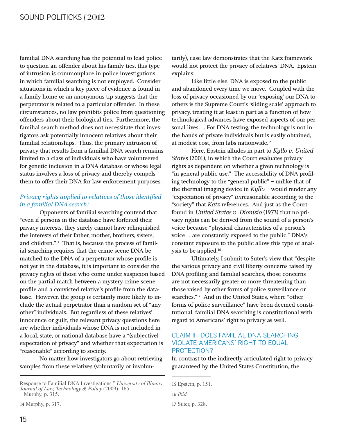familial DNA searching has the potential to lead police to question an offender about his family ties, this type of intrusion is commonplace in police investigations in which familial searching is not employed. Consider situations in which a key piece of evidence is found in a family home or an anonymous tip suggests that the perpetrator is related to a particular offender. In these circumstances, no law prohibits police from questioning offenders about their biological ties. Furthermore, the familial search method does not necessitate that investigators ask potentially innocent relatives about their familial relationships. Thus, the primary intrusion of privacy that results from a familial DNA search remains limited to a class of individuals who have volunteered for genetic inclusion in a DNA database or whose legal status involves a loss of privacy and thereby compels them to offer their DNA for law enforcement purposes.

#### *Privacy rights applied to relatives of those identified*  $in a$  familial DNA search:

Opponents of familial searching contend that "even if persons in the database have forfeited their privacy interests, they surely cannot have relinquished the interests of their father, mother, brothers, sisters, and children."14 That is, because the process of familial searching requires that the crime scene DNA be matched to the DNA of a perpetrator whose profile is not yet in the database, it is important to consider the privacy rights of those who come under suspicion based on the partial match between a mystery crime scene profile and a convicted relative's profile from the database. However, the group is certainly more likely to include the actual perpetrator than a random set of "any other" individuals. But regardless of these relatives' innocence or guilt, the relevant privacy questions here are whether individuals whose DNA is not included in a local, state, or national database have a "(subjective) expectation of privacy" and whether that expectation is "reasonable" according to society.

No matter how investigators go about retrieving samples from these relatives (voluntarily or involun-

14 Murphy, p. 317.

tarily), case law demonstrates that the Katz framework would not protect the privacy of relatives' DNA. Epstein explains:

Like little else, DNA is exposed to the public and abandoned every time we move. Coupled with the loss of privacy occasioned by our 'exposing' our DNA to others is the Supreme Court's 'sliding scale' approach to privacy, treating it at least in part as a function of how technological advances have exposed aspects of our personal lives…. For DNA testing, the technology is not in the hands of private individuals but is easily obtained, at modest cost, from labs nationwide.15

Here, Epstein alludes in part to *Kyllo v. United* States (2001), in which the Court evaluates privacy rights as dependent on whether a given technology is "in general public use." The accessibility of DNA profiling technology to the "general public" – unlike that of the thermal imaging device in *Kyllo* – would render any "expectation of privacy" *unreasonable according to the* "society" that *Katz* references. And just as the Court found in *United States v. Dionisio* (1973) that no privacy rights can be derived from the sound of a person's voice because "physical characteristics of a person's voice… are constantly exposed to the public," DNA's constant exposure to the public allow this type of analysis to be applied.16

Ultimately, I submit to Suter's view that "despite the various privacy and civil liberty concerns raised by DNA profiling and familial searches, those concerns are not necessarily greater or more threatening than those raised by other forms of police surveillance or searches."17 And in the United States, where "other forms of police surveillance" have been deemed constitutional, familial DNA searching is constitutional with regard to Americans' right to privacy as well.

#### CLAIM II: DOES FAMILIAL DNA SEARCHING VIOLATE AMERICANS' RIGHT TO EQUAL PROTECTION?

In contrast to the indirectly articulated right to privacy guaranteed by the United States Constitution, the

Response to Familial DNA Investigations." University of Illinois *Journal of Law, Technology & Policy (2009): 165.* Murphy, p. 315.

<sup>15</sup> Epstein, p. 151.

<sup>16</sup> *Ibid.* 

<sup>17</sup> Suter, p. 328.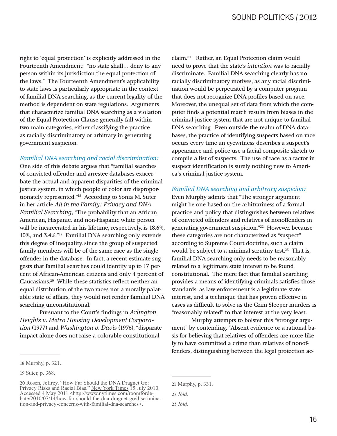right to 'equal protection' is explicitly addressed in the Fourteenth Amendment: "no state shall… deny to any person within its jurisdiction the equal protection of the laws." The Fourteenth Amendment's applicability to state laws is particularly appropriate in the context of familial DNA searching, as the current legality of the method is dependent on state regulations. Arguments that characterize familial DNA searching as a violation of the Equal Protection Clause generally fall within two main categories, either classifying the practice as racially discriminatory or arbitrary in generating government suspicion.

#### *Familial DNA searching and racial discrimination:*

One side of this debate argues that "familial searches of convicted offender and arrestee databases exacerbate the actual and apparent disparities of the criminal justice system, in which people of color are disproportionately represented."18 According to Sonia M. Suter in her article *All in the Family: Privacy and DNA Familial Searching,* "The probability that an African American, Hispanic, and non-Hispanic white person will be incarcerated in his lifetime, respectively, is 18.6%, 10%, and 3.4%."19 Familial DNA searching only extends this degree of inequality, since the group of suspected family members will be of the same race as the single offender in the database. In fact, a recent estimate suggests that familial searches could identify up to 17 percent of African-American citizens and only 4 percent of Caucasians.20 While these statistics reflect neither an equal distribution of the two races nor a morally palatable state of affairs, they would not render familial DNA searching unconstitutional.

Pursuant to the Court's findings in *Arlington Heights v. Metro Housing Development Corporation* (1977) and *Washington v. Davis* (1976), "disparate impact alone does not raise a colorable constitutional

claim."21 Rather, an Equal Protection claim would need to prove that the state's *intention* was to racially discriminate. Familial DNA searching clearly has no racially discriminatory motives, as any racial discrimination would be perpetrated by a computer program that does not recognize DNA profiles based on race. Moreover, the unequal set of data from which the computer finds a potential match results from biases in the criminal justice system that are not unique to familial DNA searching. Even outside the realm of DNA databases, the practice of identifying suspects based on race occurs every time an eyewitness describes a suspect's appearance and police use a facial composite sketch to compile a list of suspects. The use of race as a factor in suspect identification is surely nothing new to America's criminal justice system.

#### *Familial DNA searching and arbitrary suspicion:*

Even Murphy admits that "The stronger argument might be one based on the arbitrariness of a formal practice and policy that distinguishes between relatives of convicted offenders and relatives of nonoffenders in generating government suspicion."22 However, because these categories are not characterized as "suspect" according to Supreme Court doctrine, such a claim would be subject to a minimal scrutiny test. $23$  That is, familial DNA searching only needs to be reasonably related to a legitimate state interest to be found constitutional. The mere fact that familial searching provides a means of identifying criminals satisfies those standards, as law enforcement is a legitimate state interest, and a technique that has proven effective in cases as difficult to solve as the Grim Sleeper murders is "reasonably related" to that interest at the very least.

Murphy attempts to bolster this "stronger argument" by contending, "Absent evidence or a rational basis for believing that relatives of offenders are more likely to have committed a crime than relatives of nonoffenders, distinguishing between the legal protection ac-

<sup>18</sup> Murphy, p. 321.

<sup>19</sup> Suter, p. 368.

<sup>20</sup> Rosen, Jeffrey. "How Far Should the DNA Dragnet Go: 26 Robert, John P. How Tail Sharehoff and Division Privacy Risks and Racial Bias." <u>New York Times</u> 15 July 2010.<br>Accessed 4 May 2011 <http://www.nytimes.com/roomfordebate/2010/07/14/how-far-should-the-dna-dragnet-go/discrimina-<br>tion-and-privacy-concerns-with-familial-dna-searches>.

<sup>21</sup> Murphy, p. 331.

<sup>22</sup> *Ibid*.

<sup>23</sup> *Ibid.*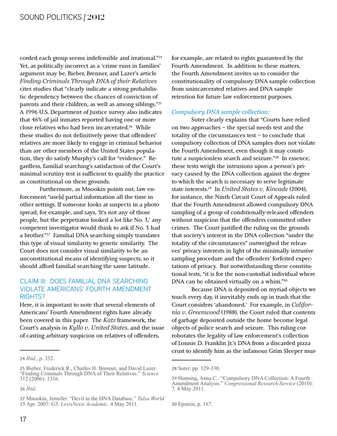corded each group seems indefensible and irrational."24 Yet, as politically incorrect as a 'crime runs in families' argument may be, Bieber, Brenner, and Lazer's article *Finding Criminals Through DNA of their Relatives* cites studies that "clearly indicate a strong probabilistic dependency between the chances of conviction of parents and their children, as well as among siblings."25 A 1996 U.S. Department of Justice survey also indicates that 46% of jail inmates reported having one or more close relatives who had been incarcerated.26 While these studies do not definitively prove that offenders' relatives are more likely to engage in criminal behavior than are other members of the United States population, they do satisfy Murphy's call for "evidence." Regardless, familial searching's satisfaction of the Court's minimal scrutiny test is sufficient to qualify the practice as constitutional on these grounds.

Furthermore, as Mnookin points out, law enforcement "use[s] partial information all the time in other settings. If someone looks at suspects in a photo spread, for example, and says, 'It's not any of those people, but the perpetrator looked a lot like No. 3,' any competent investigator would think to ask if No. 3 had a brother."27 Familial DNA searching simply translates this type of visual similarity to genetic similarity. The Court does not consider visual similarity to be an unconstitutional means of identifying suspects, so it should afford familial searching the same latitude.

#### CLAIM III: DOES FAMILIAL DNA SEARCHING VIOLATE AMERICANS' FOURTH AMENDMENT RIGHTS?

Here, it is important to note that several elements of Americans' Fourth Amendment rights have already been covered in this paper. The Katz framework, the Court's analysis in *Kyllo v. United States*, and the issue of casting arbitrary suspicion on relatives of offenders,

26 *Ibid*.

for example, are related to rights guaranteed by the Fourth Amendment. In addition to these matters, the Fourth Amendment invites us to consider the constitutionality of compulsory DNA sample collection from unincarcerated relatives and DNA sample retention for future law enforcement purposes.

#### *Compulsory DNA sample collection:*

Suter clearly explains that "Courts have relied on two approaches – the special needs test and the totality of the circumstances test – to conclude that compulsory collection of DNA samples does not violate the Fourth Amendment, even though it may constitute a suspicionless search and seizure."28 In essence, these tests weigh the intrusions upon a person's privacy caused by the DNA collection against the degree to which the search is necessary to serve legitimate state interests.<sup>29</sup> In *United States v. Kincade* (2004), for instance, the Ninth Circuit Court of Appeals ruled that the Fourth Amendment allowed compulsory DNA sampling of a group of conditionally-released offenders without suspicion that the offenders committed other crimes. The Court justified the ruling on the grounds that society's interest in the DNA collection "under the totality of the circumstances" outweighed the releasees' privacy interests in light of the minimally intrusive sampling procedure and the offenders' forfeited expectations of privacy. But notwithstanding these constitutional tests, "it is for the non-custodial individual where DNA can be obtained virtually on a whim."30

Because DNA is deposited on myriad objects we touch every day, it inevitably ends up in trash that the Court considers 'abandoned.' For example, in *California v. Greenwood* (1988), the Court ruled that contents of garbage deposited outside the home become legal objects of police search and seizure. This ruling corroborates the legality of law enforcement's collection of Lonnie D. Franklin Jr.'s DNA from a discarded pizza crust to identify him as the infamous Grim Sleeper mur-

30 Epstein, p. 167.

<sup>24</sup> *Ibid.*, p. 332.

<sup>25</sup> Bieber, Frederick R., Charles H. Brenner, and David Lazer. "Finding Criminals Through DNA of Their Relatives." Science  $312(2006): 1316.$ 

<sup>27</sup> Mnookin, Jennifer. "Devil in the DNA Database." Tulsa World 15 Apr. 2007: G3. LexisNexis Academic. 4 May 2011.

<sup>28</sup> Suter, pp. 329-330.

<sup>29</sup> Henning, Anna C.. "Compulsory DNA Collection: A Fourth Amendment Analysis." Congressional Research Service (2010): 7.4 May 2011.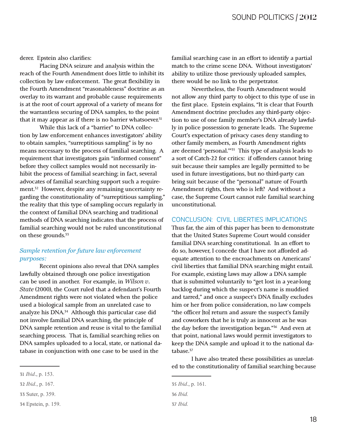derer. Epstein also clarifies:

Placing DNA seizure and analysis within the reach of the Fourth Amendment does little to inhibit its collection by law enforcement. The great flexibility in the Fourth Amendment "reasonableness" doctrine as an overlay to its warrant and probable cause requirements is at the root of court approval of a variety of means for the warrantless securing of DNA samples, to the point that it may appear as if there is no barrier whatsoever.<sup>31</sup>

While this lack of a "barrier" to DNA collection by law enforcement enhances investigators' ability to obtain samples, "surreptitious sampling" is by no means necessary to the process of familial searching. A requirement that investigators gain "informed consent" before they collect samples would not necessarily inhibit the process of familial searching; in fact, several advocates of familial searching support such a requirement.<sup>32</sup> However, despite any remaining uncertainty regarding the constitutionality of "surreptitious sampling," the reality that this type of sampling occurs regularly in the context of familial DNA searching and traditional methods of DNA searching indicates that the process of familial searching would not be ruled unconstitutional on these grounds.<sup>33</sup>

#### $$  $purposes.$

Recent opinions also reveal that DNA samples lawfully obtained through one police investigation can be used in another. For example, in *Wilson v*. *State* (2000), the Court ruled that a defendant's Fourth Amendment rights were not violated when the police used a biological sample from an unrelated case to analyze his DNA.34 Although this particular case did not involve familial DNA searching, the principle of DNA sample retention and reuse is vital to the familial searching process. That is, familial searching relies on DNA samples uploaded to a local, state, or national database in conjunction with one case to be used in the

33 Suter, p. 359.

familial searching case in an effort to identify a partial match to the crime scene DNA. Without investigators' ability to utilize those previously uploaded samples, there would be no link to the perpetrator.

Nevertheless, the Fourth Amendment would not allow any third party to object to this type of use in the first place. Epstein explains, "It is clear that Fourth Amendment doctrine precludes any third-party objection to use of one family member's DNA already lawfully in police possession to generate leads. The Supreme Court's expectation of privacy cases deny standing to other family members, as Fourth Amendment rights are deemed 'personal.'"35 This type of analysis leads to a sort of Catch-22 for critics: if offenders cannot bring suit because their samples are legally permitted to be used in future investigations, but no third-party can bring suit because of the "personal" nature of Fourth Amendment rights, then who is left? And without a case, the Supreme Court cannot rule familial searching unconstitutional.

#### CONCLUSION: CIVIL LIBERTIES IMPLICATIONS

Thus far, the aim of this paper has been to demonstrate that the United States Supreme Court would consider familial DNA searching constitutional. In an effort to do so, however, I concede that I have not afforded adequate attention to the encroachments on Americans' civil liberties that familial DNA searching might entail. For example, existing laws may allow a DNA sample that is submitted voluntarily to "get lost in a year-long backlog during which the suspect's name is muddied and tarred," and once a suspect's DNA finally excludes him or her from police consideration, no law compels "the officer [to] return and assure the suspect's family and coworkers that he is truly as innocent as he was the day before the investigation began."36 And even at that point, national laws would permit investigators to keep the DNA sample and upload it to the national database.<sup>37</sup>

I have also treated these possibilities as unrelated to the constitutionality of familial searching because

<sup>31</sup> *Ibid.*, p. 153.

<sup>32</sup> *Ibid.*, p. 167.

<sup>34</sup> Epstein, p. 159.

<sup>35</sup> *Ibid.*, p. 161.

<sup>36</sup> *Ibid.* 

<sup>37</sup> *Ibid.*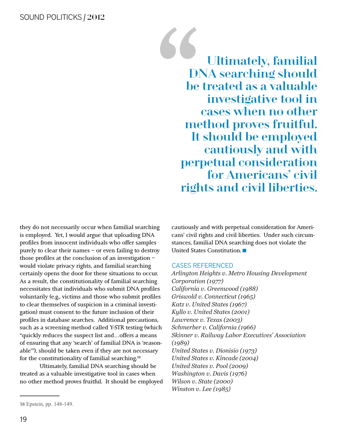Ultimately, familial<br>DNA searching should<br>be treated as a valuable<br>investigative tool in<br>cases when no other<br>method proves fruitful. DNA searching should be treated as a valuable investigative tool in cases when no other method proves fruitful. It should be employed cautiously and with perpetual consideration for Americans' civil rights and civil liberties.

they do not necessarily occur when familial searching is employed. Yet, I would argue that uploading DNA profiles from innocent individuals who offer samples purely to clear their names – or even failing to destroy those profiles at the conclusion of an investigation – would violate privacy rights, and familial searching certainly opens the door for these situations to occur. As a result, the constitutionality of familial searching necessitates that individuals who submit DNA profiles voluntarily (e.g., victims and those who submit profiles to clear themselves of suspicion in a criminal investigation) must consent to the future inclusion of their profiles in database searches. Additional precautions, such as a screening method called Y-STR testing (which "quickly reduces the suspect list and…offers a means of ensuring that any 'search' of familial DNA is 'reasonable'"), should be taken even if they are not necessary for the constitutionality of familial searching.<sup>38</sup>

Ultimately, familial DNA searching should be treated as a valuable investigative tool in cases when no other method proves fruitful. It should be employed

#### CASES REFERENCED

 $A$ rlington Heights v. Metro Housing Development *Corporation (1977)*  $California v. Greenwood (1988)$ *Griswold v. Connecticut (1965) Katz v. United States (1967) Kyllo v. United States (2001) Lawrence v. Texas (2003)*  $Schmerber v. California (1966)$ *<u><i>Skinner v. Railway Labor Executives' Association*</u>  $(1989)$ *United States v. Dionisio (1973) United States v. Kincade (2004) United States v. Pool (2009) Washington v. Davis* (1976) *Wilson v. State (2000) Winston v. Lee (1985)* 

cautiously and with perpetual consideration for Americans' civil rights and civil liberties. Under such circumstances, familial DNA searching does not violate the cans' civil rights and civil libe<br>stances, familial DNA searchi:<br>United States Constitution.

<sup>38</sup> Epstein, pp. 148-149.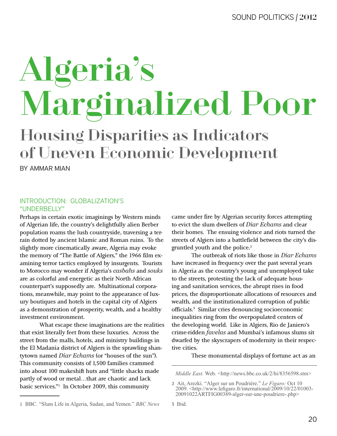# Algeria's Marginalized Poor

#### Housing Disparities as Indicators of Uneven Economic Development

BY AMMAR MIAN

#### INTRODUCTION: GLOBALIZATION'S "UNDERBELLY"

Perhaps in certain exotic imaginings by Western minds of Algerian life, the country's delightfully alien Berber population roams the lush countryside, traversing a terrain dotted by ancient Islamic and Roman ruins. To the slightly more cinematically aware, Algeria may evoke the memory of "The Battle of Algiers," the 1966 film examining terror tactics employed by insurgents. Tourists to Morocco may wonder if Algeria's *casbahs* and *souks* are as colorful and energetic as their North African counterpart's supposedly are. Multinational corporations, meanwhile, may point to the appearance of luxury boutiques and hotels in the capital city of Algiers as a demonstration of prosperity, wealth, and a healthy investment environment.

What escape these imaginations are the realities that exist literally feet from these luxuries. Across the street from the malls, hotels, and ministry buildings in the El Madania district of Algiers is the sprawling shantytown named *Diar Echams* (or "houses of the sun"). This community consists of 1,500 families crammed into about 100 makeshift huts and "little shacks made partly of wood or metal…that are chaotic and lack basic services."1 In October 2009, this community

came under fire by Algerian security forces attempting to evict the slum dwellers of *Diar Echams* and clear their homes. The ensuing violence and riots turned the streets of Algiers into a battlefield between the city's disgruntled youth and the police.2

The outbreak of riots like those in *Diar Echams* have increased in frequency over the past several years in Algeria as the country's young and unemployed take to the streets, protesting the lack of adequate housing and sanitation services, the abrupt rises in food prices, the disproportionate allocations of resources and wealth, and the institutionalized corruption of public officials.3 Similar cries denouncing socioeconomic inequalities ring from the overpopulated centers of the developing world. Like in Algiers, Rio de Janiero's crime-ridden *favelas* and Mumbai's infamous slums sit dwarfed by the skyscrapers of modernity in their respective cities.

These monumental displays of fortune act as an

*Middle East.* Web. <http://news.bbc.co.uk/2/hi/8356598.stm>

<sup>2</sup> Ait, Arezki. "Alger sur un Poudrière." Le Figaro: Oct 10 2009. <http://www.lefigaro.fr/international/2009/10/22/01003-20091022ARTFIG00389-alger-sur-une-poudriere-.php>

<sup>3</sup> Ibid.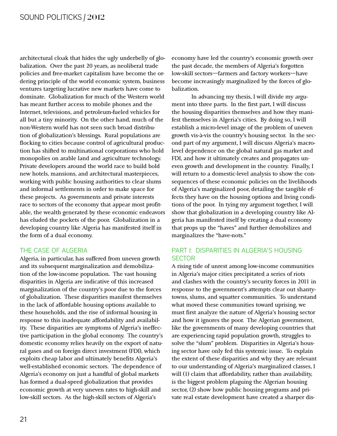architectural cloak that hides the ugly underbelly of globalization. Over the past 20 years, as neoliberal trade policies and free-market capitalism have become the ordering principle of the world economic system, business ventures targeting lucrative new markets have come to dominate. Globalization for much of the Western world has meant further access to mobile phones and the Internet, televisions, and petroleum-fueled vehicles for all but a tiny minority. On the other hand, much of the non-Western world has not seen such broad distribution of globalization's blessings. Rural populations are flocking to cities because control of agricultural production has shifted to multinational corporations who hold monopolies on arable land and agriculture technology. Private developers around the world race to build bold new hotels, mansions, and architectural masterpieces, working with public housing authorities to clear slums and informal settlements in order to make space for these projects. As governments and private interests race to sectors of the economy that appear most profitable, the wealth generated by these economic endeavors has eluded the pockets of the poor. Globalization in a developing country like Algeria has manifested itself in the form of a dual economy.

#### THE CASE OF ALGERIA

Algeria, in particular, has suffered from uneven growth and its subsequent marginalization and demobilization of the low-income population. The vast housing disparities in Algeria are indicative of this increased marginalization of the country's poor due to the forces of globalization. These disparities manifest themselves in the lack of affordable housing options available to these households, and the rise of informal housing in response to this inadequate affordability and availability. These disparities are symptoms of Algeria's ineffective participation in the global economy. The country's domestic economy relies heavily on the export of natural gases and on foreign direct investment (FDI), which exploits cheap labor and ultimately benefits Algeria's well-established economic sectors. The dependence of Algeria's economy on just a handful of global markets has formed a dual-speed globalization that provides economic growth at very uneven rates to high-skill and low-skill sectors. As the high-skill sectors of Algeria's

economy have led the country's economic growth over the past decade, the members of Algeria's forgotten low-skill sectors—farmers and factory workers—have become increasingly marginalized by the forces of globalization.

In advancing my thesis, I will divide my argument into three parts. In the first part, I will discuss the housing disparities themselves and how they manifest themselves in Algeria's cities. By doing so, I will establish a micro-level image of the problem of uneven growth vis-à-vis the country's housing sector. In the second part of my argument, I will discuss Algeria's macrolevel dependence on the global natural gas market and FDI, and how it ultimately creates and propagates uneven growth and development in the country. Finally, I will return to a domestic-level analysis to show the consequences of these economic policies on the livelihoods of Algeria's marginalized poor, detailing the tangible effects they have on the housing options and living conditions of the poor. In tying my argument together, I will show that globalization in a developing country like Algeria has manifested itself by creating a dual economy that props up the "haves" and further demobilizes and marginalizes the "have-nots."

#### PART I: DISPARITIES IN ALGERIA'S HOUSING **SECTOR**

A rising tide of unrest among low-income communities in Algeria's major cities precipitated a series of riots and clashes with the country's security forces in 2011 in response to the government's attempts clear out shantytowns, slums, and squatter communities. To understand what moved these communities toward uprising, we must first analyze the nature of Algeria's housing sector and how it ignores the poor. The Algerian government, like the governments of many developing countries that are experiencing rapid population growth, struggles to solve the "slum" problem. Disparities in Algeria's housing sector have only fed this systemic issue. To explain the extent of these disparities and why they are relevant to our understanding of Algeria's marginalized classes, I will (1) claim that affordability, rather than availability, is the biggest problem plaguing the Algerian housing sector, (2) show how public housing programs and private real estate development have created a sharper dis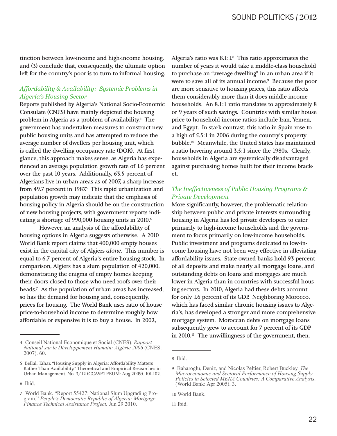tinction between low-income and high-income housing, and (3) conclude that, consequently, the ultimate option left for the country's poor is to turn to informal housing.

#### *Affordability & Availability: Systemic Problems in*  $Algeria's \,Houseing \, Sector$

Reports published by Algeria's National Socio-Economic Consulate (CNES) have mainly depicted the housing problem in Algeria as a problem of availability.4 The government has undertaken measures to construct new public housing units and has attempted to reduce the average number of dwellers per housing unit, which is called the dwelling occupancy rate (DOR). At first glance, this approach makes sense, as Algeria has experienced an average population growth rate of 1.6 percent over the past 10 years. Additionally, 63.5 percent of Algerians live in urban areas as of 2007, a sharp increase from 49.7 percent in 1987<sup>5</sup> This rapid urbanization and population growth may indicate that the emphasis of housing policy in Algeria should be on the construction of new housing projects, with government reports indicating a shortage of 990,000 housing units in 2010.<sup>6</sup>

However, an analysis of the affordability of housing options in Algeria suggests otherwise. A 2010 World Bank report claims that 400,000 empty houses exist in the capital city of Algiers *alone*. This number is equal to 6.7 percent of Algeria's entire housing stock. In comparison, Algiers has a slum population of 420,000, demonstrating the enigma of empty homes keeping their doors closed to those who need roofs over their heads.<sup>7</sup> As the population of urban areas has increased, so has the demand for housing and, consequently, prices for housing. The World Bank uses ratio of house price-to-household income to determine roughly how affordable or expensive it is to buy a house. In 2002,

Algeria's ratio was 8.1:1.8 This ratio approximates the number of years it would take a middle-class household to purchase an "average dwelling" in an urban area if it were to save all of its annual income.<sup>9</sup> Because the poor are more sensitive to housing prices, this ratio affects them considerably more than it does middle-income households. An 8.1:1 ratio translates to approximately 8 or 9 years of such savings. Countries with similar house price-to-household income ratios include Iran, Yemen, and Egypt. In stark contrast, this ratio in Spain rose to a high of 5.5:1 in 2006 during the country's property bubble.10 Meanwhile, the United States has maintained a ratio hovering around 3.5:1 since the 1980s. Clearly, households in Algeria are systemically disadvantaged against purchasing homes built for their income bracket.

#### *Fhe Ineffectiveness of Public Housing Programs &*  $Private Development$

More significantly, however, the problematic relationship between public and private interests surrounding housing in Algeria has led private developers to cater primarily to high-income households and the government to focus primarily on low-income households. Public investment and programs dedicated to low-income housing have not been very effective in alleviating affordability issues. State-owned banks hold 93 percent of all deposits and make nearly all mortgage loans, and outstanding debts on loans and mortgages are much lower in Algeria than in countries with successful housing sectors. In 2010, Algeria had these debts account for only 1.6 percent of its GDP. Neighboring Morocco, which has faced similar chronic housing issues to Algeria's, has developed a stronger and more comprehensive mortgage system. Moroccan debts on mortgage loans subsequently grew to account for 7 percent of its GDP in 2010.11 The unwillingness of the government, then,

<sup>4</sup> Conseil National Economique et Social (CNES). Rapport *National sur le Développement Humain: Algérie 2006* (CNES: 2007). 60.

<sup>5</sup> Bellal, Tahar. "Housing Supply in Algeria: Affordability Matters Rather Than Availability." Theoretical and Empirical Researches in Urban Management. No. 3/12 (CCASP-TERUM: Aug 2009). 101-102.

<sup>6</sup> Ibid.

<sup>7</sup> World Bank. "Report 55427: National Slum Upgrading Program." People's Democratic Republic of Algeria: Mortgage *Finance Technical Assistance Project.* Jun 29 2010.

<sup>8</sup> Ibid.

<sup>9</sup> Baharoglu, Deniz, and Nicolas Peltier, Robert Buckley. The *Macroeconomic and Sectoral Performance of Housing Supply Policies in Selected MENA Countries: A Comparative Analysis.* (World Bank: Apr 2005). 3.

<sup>10</sup> World Bank.

<sup>11</sup> Ibid.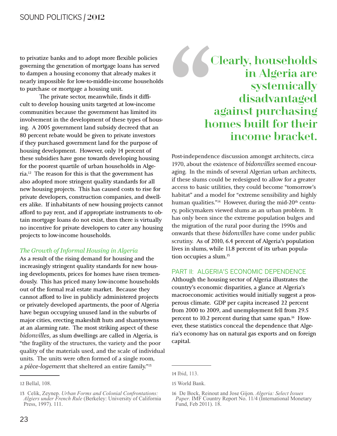to privatize banks and to adopt more flexible policies governing the generation of mortgage loans has served to dampen a housing economy that already makes it nearly impossible for low-to-middle-income households to purchase or mortgage a housing unit.

The private sector, meanwhile, finds it difficult to develop housing units targeted at low-income communities because the government has limited its involvement in the development of these types of housing. A 2005 government land subsidy decreed that an 80 percent rebate would be given to private investors if they purchased government land for the purpose of housing development. However, only 14 percent of these subsidies have gone towards developing housing for the poorest quartile of urban households in Algeria.12 The reason for this is that the government has also adopted more stringent quality standards for all new housing projects. This has caused costs to rise for private developers, construction companies, and dwellers alike. If inhabitants of new housing projects cannot afford to pay rent, and if appropriate instruments to obtain mortgage loans do not exist, then there is virtually no incentive for private developers to cater any housing projects to low-income households.

#### *Fhe Growth of Informal Housing in Algeria*

As a result of the rising demand for housing and the increasingly stringent quality standards for new housing developments, prices for homes have risen tremendously. This has priced many low-income households out of the formal real estate market. Because they cannot afford to live in publicly administered projects or privately developed apartments, the poor of Algeria have begun occupying unused land in the suburbs of major cities, erecting makeshift huts and shantytowns at an alarming rate. The most striking aspect of these bidonvilles, as slum dwellings are called in Algeria, is "the fragility of the structures, the variety and the poor quality of the materials used, and the scale of individual units. The units were often formed of a single room, a pièce-logement that sheltered an entire family."<sup>13</sup>

#### 66' Clearly, households in Algeria are systemically disadvantaged against purchasing homes built for their income bracket.

Post-independence discussion amongst architects, circa 1970, about the existence of *bidonvilles* seemed encouraging. In the minds of several Algerian urban architects, if these slums could be redesigned to allow for a greater access to basic utilities, they could become "tomorrow's habitat" and a model for "extreme sensibility and highly human qualities."<sup>14</sup> However, during the mid-20<sup>th</sup> century, policymakers viewed slums as an urban problem. It has only been since the extreme population bulges and the migration of the rural poor during the 1990s and onwards that these *bidonvilles* have come under public scrutiny. As of 2010, 6.4 percent of Algeria's population lives in slums, while 11.8 percent of its urban population occupies a slum.15

#### PART II: ALGERIA'S ECONOMIC DEPENDENCE

Although the housing sector of Algeria illustrates the country's economic disparities, a glance at Algeria's macroeconomic activities would initially suggest a prosperous climate. GDP per capita increased 22 percent from 2000 to 2009, and unemployment fell from 29.5 percent to 10.2 percent during that same span.<sup>16</sup> However, these statistics conceal the dependence that Algeria's economy has on natural gas exports and on foreign capital.

<sup>12</sup> Bellal, 108.

<sup>13</sup> Celik, Zeynep. *Urban Forms and Colonial Confrontations*: *Algiers under French Rule* (Berkeley: University of California Press, 1997). 111.

<sup>14</sup> Ibid, 113.

<sup>15</sup> World Bank.

<sup>16</sup> De Bock, Reinout and Jose Gijon. Algeria: Select Issues *Paper*. IMF Country Report No. 11/4 (International Monetary Fund, Feb 2011). 18.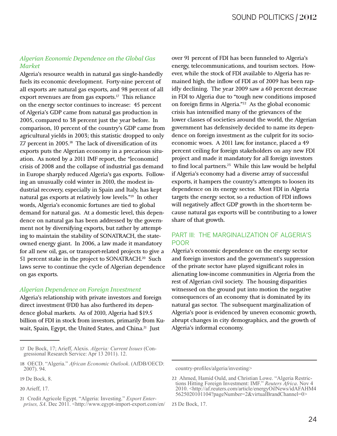#### Algerian Economic Dependence on the Global Gas  $Market$

Algeria's resource wealth in natural gas single-handedly fuels its economic development. Forty-nine percent of all exports are natural gas exports, and 98 percent of all export revenues are from gas exports.<sup>17</sup> This reliance on the energy sector continues to increase: 45 percent of Algeria's GDP came from natural gas production in 2005, compared to 38 percent just the year before. In comparison, 10 percent of the country's GDP came from agricultural yields in 2003; this statistic dropped to only 7.7 percent in 2005.18 The lack of diversification of its exports puts the Algerian economy in a precarious situation. As noted by a 2011 IMF report, the "[economic] crisis of 2008 and the collapse of industrial gas demand in Europe sharply reduced Algeria's gas exports. Following an unusually cold winter in 2010, the modest industrial recovery, especially in Spain and Italy, has kept natural gas exports at relatively low levels."19 In other words, Algeria's economic fortunes are tied to global demand for natural gas. At a domestic level, this dependence on natural gas has been addressed by the government not by diversifying exports, but rather by attempting to maintain the stability of SONATRACH, the stateowned energy giant. In 2006, a law made it mandatory for all new oil, gas, or transport-related projects to give a 51 percent stake in the project to SONATRACH.20 Such laws serve to continue the cycle of Algerian dependence on gas exports.

#### $Algerian Dependence on Foreign Investment$

Algeria's relationship with private investors and foreign direct investment (FDI) has also furthered its dependence global markets. As of 2010, Algeria had \$19.5 billion of FDI in stock from investors, primarily from Kuwait, Spain, Egypt, the United States, and China.<sup>21</sup> Just

over 91 percent of FDI has been funneled to Algeria's energy, telecommunications, and tourism sectors. However, while the stock of FDI available to Algeria has remained high, the inflow of FDI as of 2009 has been rapidly declining. The year 2009 saw a 60 percent decrease in FDI to Algeria due to "tough new conditions imposed on foreign firms in Algeria."22 As the global economic crisis has intensified many of the grievances of the lower classes of societies around the world, the Algerian government has defensively decided to name its dependence on foreign investment as the culprit for its socioeconomic woes. A 2011 law, for instance, placed a 49 percent ceiling for foreign stakeholders on any new FDI project and made it mandatory for all foreign investors to find local partners.<sup>23</sup> While this law would be helpful if Algeria's economy had a diverse array of successful exports, it hampers the country's attempts to loosen its dependence on its energy sector. Most FDI in Algeria targets the energy sector, so a reduction of FDI inflows will negatively affect GDP growth in the short-term because natural gas exports will be contributing to a lower share of that growth.

#### PART III: THE MARGINALIZATION OF ALGERIA'S POOR

Algeria's economic dependence on the energy sector and foreign investors and the government's suppression of the private sector have played significant roles in alienating low-income communities in Algeria from the rest of Algerian civil society. The housing disparities witnessed on the ground put into motion the negative consequences of an economy that is dominated by its natural gas sector. The subsequent marginalization of Algeria's poor is evidenced by uneven economic growth, abrupt changes in city demographics, and the growth of Algeria's informal economy.

country-profiles/algeria/investing>

<sup>17</sup> De Bock, 17; Arieff, Alexis. Algeria: Current Issues (Congressional Research Service: Apr 13 2011). 12.

<sup>18</sup> OECD. "Algeria." African Economic Outlook. (AfDB/OECD: 2007). 94.

<sup>19</sup> De Bock, 8.

<sup>20</sup> Arieff, 17.

<sup>21</sup> Credit Agricole Egypt. "Algeria: Investing." *Export Enter-*<br>prises, SA. Dec 2011. <http://www.egypt-import-export.com/en/

<sup>22</sup> Ahmed, Hamid Ould, and Christian Lowe. "Algeria Restrictions Hitting Foreign Investment: IMF." Reuters Africa. Nov 4 2010. <http://af.reuters.com/article/energyOilNews/idAFAHM4 5625020101104?pageNumber=2&virtualBrandChannel=0>

<sup>23</sup> De Bock, 17.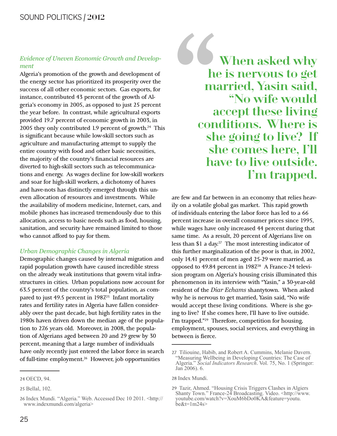#### *Evidence of Uneven Economic Growth and Develop*ment

Algeria's promotion of the growth and development of the energy sector has prioritized its prosperity over the success of all other economic sectors. Gas exports, for instance, contributed 43 percent of the growth of Algeria's economy in 2005, as opposed to just 25 percent the year before. In contrast, while agricultural exports provided 19.7 percent of economic growth in 2003, in 2005 they only contributed 1.9 percent of growth.<sup>24</sup> This is significant because while low-skill sectors such as agriculture and manufacturing attempt to supply the entire country with food and other basic necessities, the majority of the country's financial resources are diverted to high-skill sectors such as telecommunications and energy. As wages decline for low-skill workers and soar for high-skill workers, a dichotomy of haves and have-nots has distinctly emerged through this uneven allocation of resources and investments. While the availability of modern medicine, Internet, cars, and mobile phones has increased tremendously due to this allocation, access to basic needs such as food, housing, sanitation, and security have remained limited to those who cannot afford to pay for them.

#### *Urban Demographic Changes in Algeria*

Demographic changes caused by internal migration and rapid population growth have caused incredible stress on the already weak institutions that govern vital infrastructures in cities. Urban populations now account for 63.5 percent of the country's total population, as compared to just 49.5 percent in  $1987<sup>25</sup>$  Infant mortality rates and fertility rates in Algeria have fallen considerably over the past decade, but high fertility rates in the 1980s haven driven down the median age of the population to 27.6 years old. Moreover, in 2008, the population of Algerians aged between 20 and 29 grew by 30 percent, meaning that a large number of individuals have only recently just entered the labor force in search of full-time employment.26 However, job opportunities

" When asked why he is nervous to get married, Yasin said, "No wife would accept these living conditions. Where is she going to live? If she comes here, I'll have to live outside. I'm trapped.

are few and far between in an economy that relies heavily on a volatile global gas market. This rapid growth of individuals entering the labor force has led to a 66 percent increase in overall consumer prices since 1995, while wages have only increased 44 percent during that same time. As a result, 20 percent of Algerians live on less than \$1 a day.<sup>27</sup> The most interesting indicator of this further marginalization of the poor is that, in 2002, only 14.41 percent of men aged 25-29 were married, as opposed to 49.84 percent in 1987.<sup>28</sup> A France-24 television program on Algeria's housing crisis illuminated this phenomenon in its interview with "Yasin," a 30-year-old resident of the *Diar Echams* shantytown. When asked why he is nervous to get married, Yasin said, "No wife would accept these living conditions. Where is she going to live? If she comes here, I'll have to live outside. I'm trapped."29 Therefore, competition for housing, employment, spouses, social services, and everything in between is fierce.

28 Index Mundi.

<sup>24</sup> OECD, 94.

<sup>25</sup> Bellal, 102.

<sup>26</sup> Index Mundi. "Algeria." Web. Accessed Dec 10 2011. < http:// www.indexmundi.com/algeria>

<sup>27</sup> Tiliouine, Habib, and Robert A. Cummins, Melanie Davern. "Measuring Wellbeing in Developing Countries: The Case of Algeria." Social Indicators Research. Vol. 75, No. 1 (Springer: Jan 2006). 6.

<sup>29</sup> Tazir, Ahmed. "Housing Crisis Triggers Clashes in Algiers Shanty Town." France-24 Broadcasting. Video. <http://www. youtube.com/watch?v=XouM6bDo0KA&feature=youtu.  $\text{be&t} = 1 \text{m}$ 24s>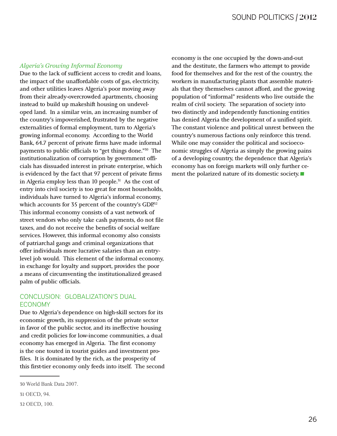#### *Algeria's Growing Informal Economy*

Due to the lack of sufficient access to credit and loans, the impact of the unaffordable costs of gas, electricity, and other utilities leaves Algeria's poor moving away from their already-overcrowded apartments, choosing instead to build up makeshift housing on undeveloped land. In a similar vein, an increasing number of the country's impoverished, frustrated by the negative externalities of formal employment, turn to Algeria's growing informal economy. According to the World Bank, 64.7 percent of private firms have made informal payments to public officials to "get things done."30 The institutionalization of corruption by government officials has dissuaded interest in private enterprise, which is evidenced by the fact that 97 percent of private firms in Algeria employ less than 10 people.<sup>31</sup> As the cost of entry into civil society is too great for most households, individuals have turned to Algeria's informal economy, which accounts for 35 percent of the country's GDP.<sup>32</sup> This informal economy consists of a vast network of street vendors who only take cash payments, do not file taxes, and do not receive the benefits of social welfare services. However, this informal economy also consists of patriarchal gangs and criminal organizations that offer individuals more lucrative salaries than an entrylevel job would. This element of the informal economy, in exchange for loyalty and support, provides the poor a means of circumventing the institutionalized greased palm of public officials.

#### CONCLUSION: GLOBALIZATION'S DUAL ECONOMY

Due to Algeria's dependence on high-skill sectors for its economic growth, its suppression of the private sector in favor of the public sector, and its ineffective housing and credit policies for low-income communities, a dual economy has emerged in Algeria. The first economy is the one touted in tourist guides and investment profiles. It is dominated by the rich, as the prosperity of this first-tier economy only feeds into itself. The second

economy is the one occupied by the down-and-out and the destitute, the farmers who attempt to provide food for themselves and for the rest of the country, the workers in manufacturing plants that assemble materials that they themselves cannot afford, and the growing population of "informal" residents who live outside the realm of civil society. The separation of society into two distinctly and independently functioning entities has denied Algeria the development of a unified spirit. The constant violence and political unrest between the country's numerous factions only reinforce this trend. While one may consider the political and socioeconomic struggles of Algeria as simply the growing pains of a developing country, the dependence that Algeria's economy has on foreign markets will only further ceof a developing country, the dependence that Algeria<br>economy has on foreign markets will only further cornent the polarized nature of its domestic society.

<sup>30</sup> World Bank Data 2007.

<sup>31</sup> OECD, 94.

<sup>32</sup> OECD, 100.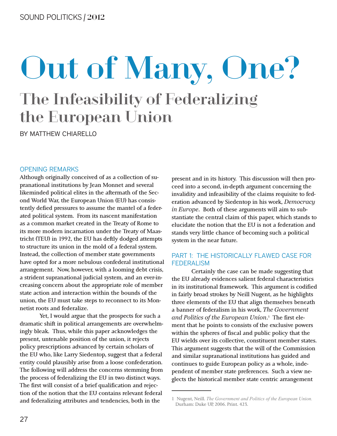## The Infeasibility of Federalizing the European Union Out of Many, One?

BY MATTHEW CHIARELLO

#### OPENING REMARKS

Although originally conceived of as a collection of supranational institutions by Jean Monnet and several likeminded political elites in the aftermath of the Second World War, the European Union (EU) has consistently defied pressures to assume the mantel of a federated political system. From its nascent manifestation as a common market created in the Treaty of Rome to its more modern incarnation under the Treaty of Maastricht (TEU) in 1992, the EU has deftly dodged attempts to structure its union in the mold of a federal system. Instead, the collection of member state governments have opted for a more nebulous confederal institutional arrangement. Now, however, with a looming debt crisis, a strident supranational judicial system, and an ever-increasing concern about the appropriate role of member state action and interaction within the bounds of the union, the EU must take steps to reconnect to its Monnetist roots and federalize.

Yet, I would argue that the prospects for such a dramatic shift in political arrangements are overwhelmingly bleak. Thus, while this paper acknowledges the present, untenable position of the union, it rejects policy prescriptions advanced by certain scholars of the EU who, like Larry Siedentop, suggest that a federal entity could plausibly arise from a loose confederation. The following will address the concerns stemming from the process of federalizing the EU in two distinct ways. The first will consist of a brief qualification and rejection of the notion that the EU contains relevant federal and federalizing attributes and tendencies, both in the

present and in its history. This discussion will then proceed into a second, in-depth argument concerning the invalidity and infeasibility of the claims requisite to federation advanced by Siedentop in his work, *Democracy* in Europe. Both of these arguments will aim to substantiate the central claim of this paper, which stands to elucidate the notion that the EU is not a federation and stands very little chance of becoming such a political system in the near future.

#### PART 1: THE HISTORICALLY FLAWED CASE FOR FEDERALISM

Certainly the case can be made suggesting that the EU already evidences salient federal characteristics in its institutional framework. This argument is codified in fairly broad strokes by Neill Nugent, as he highlights three elements of the EU that align themselves beneath a banner of federalism in his work, *The Government* and Politics of the European Union.<sup>1</sup> The first element that he points to consists of the exclusive powers within the spheres of fiscal and public policy that the EU wields over its collective, constituent member states. This argument suggests that the will of the Commission and similar supranational institutions has guided and continues to guide European policy as a whole, independent of member state preferences. Such a view neglects the historical member state centric arrangement

<sup>1</sup> Nugent, Neill. *The Government and Politics of the European Union*. Durham: Duke UP, 2006. Print. 423.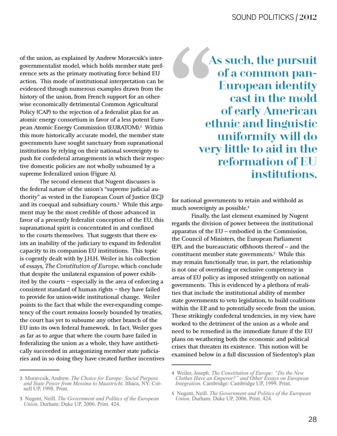of the union, as explained by Andrew Moravcsik's intergovernmentalist model, which holds member state preference sets as the primary motivating force behind EU action. This mode of institutional interpretation can be evidenced through numerous examples drawn from the history of the union, from French support for an otherwise economically detrimental Common Agricultural Policy (CAP) to the rejection of a federalist plan for an atomic energy consortium in favor of a less potent European Atomic Energy Commission (EURATOM).2 Within this more historically accurate model, the member state governments have sought sanctuary from supranational institutions by relying on their national sovereignty to push for confederal arrangements in which their respective domestic policies are not wholly subsumed by a supreme federalized union (Figure A).

The second element that Nugent discusses is the federal nature of the union's "supreme judicial authority" as vested in the European Court of Justice (ECJ) and its coequal and subsidiary courts.<sup>3</sup> While this argument may be the most credible of those advanced in favor of a presently federalist conception of the EU, this supranational spirit is concentrated in and confined to the courts themselves. That suggests that there exists an inability of the judiciary to expand its federalist capacity to its companion EU institutions. This topic is cogently dealt with by J.H.H. Weiler in his collection of essays, *The Constitution of Europe*, which conclude that despite the unilateral expansion of power exhibited by the courts – especially in the area of enforcing a consistent standard of human rights – they have failed to provide for union-wide institutional change. Weiler points to the fact that while the ever-expanding competency of the court remains loosely bounded by treaties, the court has yet to subsume any other branch of the EU into its own federal framework. In fact, Weiler goes as far as to argue that where the courts have failed in federalizing the union as a whole, they have antithetically succeeded in antagonizing member state judiciaries and in so doing they have created further incentives COMPARENT As such, the pursuit of a common pan-European identity cast in the mold of early American ethnic and linguistic uniformity will do very little to aid in the reformation of EU institutions.

for national governments to retain and withhold as much sovereignty as possible.4

Finally, the last element examined by Nugent regards the division of power between the institutional apparatus of the EU -- embodied in the Commission, the Council of Ministers, the European Parliament (EP), and the bureaucratic offshoots thereof -- and the constituent member state governments.<sup>5</sup> While this may remain functionally true, in part, the relationship is not one of overriding or exclusive competency in areas of EU policy as imposed stringently on national governments. This is evidenced by a plethora of realities that include the institutional ability of member state governments to veto legislation, to build coalitions within the EP, and to potentially secede from the union. These strikingly confederal tendencies, in my view, have worked to the detriment of the union as a whole and need to be remedied in the immediate future if the EU plans on weathering both the economic and political crises that threaten its existence. This notion will be examined below in a full discussion of Siedentop's plan

<sup>2</sup> Moravcsik, Andrew. The Choice for Europe: Social Purpose and State Power from Messina to Maastricht. Ithaca, NY: Cornell UP, 1998. Print.

<sup>3</sup> Nugent, Neill. The Government and Politics of the European *Union.* Durham: Duke UP, 2006. Print. 424.

<sup>4</sup> Weiler, Joseph. The Constitution of Europe: "Do the New *Clothes Have an Emperor?" and Other Essays on European Integration.* Cambridge: Cambridge UP, 1999. Print.

<sup>5</sup> Nugent, Neill. The Government and Politics of the European *Union.* Durham: Duke UP, 2006. Print. 424.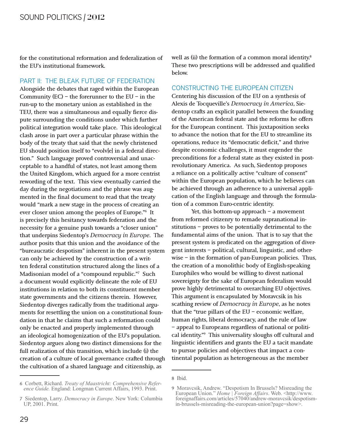for the constitutional reformation and federalization of the EU's institutional framework.

#### PART II: THE BLEAK FUTURE OF FEDERATION

Alongside the debates that raged within the European Community  $(EC)$  – the forerunner to the EU – in the run-up to the monetary union as established in the TEU, there was a simultaneous and equally fierce dispute surrounding the conditions under which further political integration would take place. This ideological clash arose in part over a particular phrase within the body of the treaty that said that the newly christened EU should position itself to "evolv[e] in a federal direction." Such language proved controversial and unacceptable to a handful of states, not least among them the United Kingdom, which argued for a more centrist rewording of the text. This view eventually carried the day during the negotiations and the phrase was augmented in the final document to read that the treaty would "mark a new stage in the process of creating an ever closer union among the peoples of Europe."6 It is precisely this hesitancy towards federation and the necessity for a genuine push towards a "closer union" that underpins Siedentop's *Democracy* in Europe. The author posits that this union and the avoidance of the "bureaucratic despotism" inherent in the present system can only be achieved by the construction of a written federal constitution structured along the lines of a Madisonian model of a "compound republic."7 Such a document would explicitly delineate the role of EU institutions in relation to both its constituent member state governments and the citizens therein. However, Siedentop diverges radically from the traditional arguments for resettling the union on a constitutional foundation in that he claims that such a reformation could only be enacted and properly implemented through an ideological homogenization of the EU's population. Siedentop argues along two distinct dimensions for the full realization of this transition, which include (i) the creation of a culture of local governance crafted through the cultivation of a shared language and citizenship, as

well as (ii) the formation of a common moral identity.<sup>8</sup> These two prescriptions will be addressed and qualified below.

#### CONSTRUCTING THE EUROPEAN CITIZEN

Centering his discussion of the EU on a synthesis of Alexis de Tocqueville's *Democracy in America*, Siedentop crafts an explicit parallel between the founding of the American federal state and the reforms he offers for the European continent. This juxtaposition seeks to advance the notion that for the EU to streamline its operations, reduce its "democratic deficit," and thrive despite economic challenges, it must engender the preconditions for a federal state as they existed in postrevolutionary America. As such, Siedentop proposes a reliance on a politically active "culture of consent" within the European population, which he believes can be achieved through an adherence to a universal application of the English language and through the formulation of a common Euro-centric identity.

Yet, this bottom-up approach  $-$  a movement from reformed citizenry to remade supranational institutions – proves to be potentially detrimental to the fundamental aims of the union. That is to say that the present system is predicated on the aggregation of divergent interests – political, cultural, linguistic, and otherwise – in the formation of pan-European policies. Thus, the creation of a monolithic body of English-speaking Europhiles who would be willing to divest national sovereignty for the sake of European federalism would prove highly detrimental to overarching EU objectives. This argument is encapsulated by Moravcsik in his scathing review of *Democracy* in *Europe*, as he notes that the "true pillars of the EU – economic welfare, human rights, liberal democracy, and the rule of law – appeal to Europeans regardless of national or political identity."9 This universality sloughs off cultural and linguistic identifiers and grants the EU a tacit mandate to pursue policies and objectives that impact a continental population as heterogeneous as the member

<sup>6</sup> Corbett, Richard. *Treaty of Maastricht: Comprehensive Refer-*<br>ence Guide. England: Longman Current Affairs, 1993. Print.

<sup>7</sup> Siedentop, Larry. Democracy in Europe. New York: Columbia UP, 2001. Print.

<sup>8</sup> Ibid.

<sup>9</sup> Moravcsik, Andrew. "Despotism In Brussels? Misreading the European Union." Home | Foreign Affairs. Web. <http://www. foreignaffairs.com/articles/57040/andrew-moravcsik/despotismin-brussels-misreading-the-european-union?page=show>.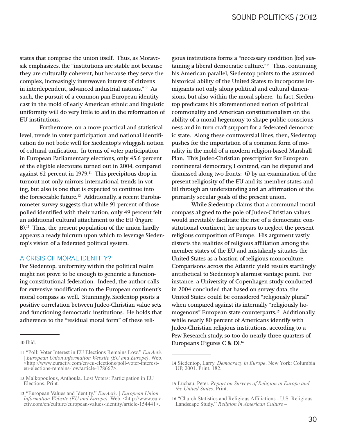states that comprise the union itself. Thus, as Moravcsik emphasizes, the "institutions are stable not because they are culturally coherent, but because they serve the complex, increasingly interwoven interest of citizens in interdependent, advanced industrial nations."<sup>10</sup> As such, the pursuit of a common pan-European identity cast in the mold of early American ethnic and linguistic uniformity will do very little to aid in the reformation of EU institutions.

Furthermore, on a more practical and statistical level, trends in voter participation and national identification do not bode well for Siedentop's whiggish notion of cultural unification. In terms of voter participation in European Parliamentary elections, only 45.6 percent of the eligible electorate turned out in 2004, compared against 62 percent in 1979.<sup>11</sup> This precipitous drop in turnout not only mirrors international trends in voting, but also is one that is expected to continue into the foreseeable future.<sup>12</sup> Additionally, a recent Eurobarometer survey suggests that while 91 percent of those polled identified with their nation, only 49 percent felt an additional cultural attachment to the EU (Figure B).<sup>13</sup> Thus, the present population of the union hardly appears a ready fulcrum upon which to leverage Siedentop's vision of a federated political system.

#### A CRISIS OF MORAL IDENTITY?

For Siedentop, uniformity within the political realm might not prove to be enough to generate a functioning constitutional federation. Indeed, the author calls for extensive modification to the European continent's moral compass as well. Stunningly, Siedentop posits a positive correlation between Judeo-Christian value sets and functioning democratic institutions. He holds that adherence to the "residual moral form" of these reli-

gious institutions forms a "necessary condition [for] sustaining a liberal democratic culture."<sup>14</sup> Thus, continuing his American parallel, Siedentop points to the assumed historical ability of the United States to incorporate immigrants not only along political and cultural dimensions, but also within the moral sphere. In fact, Siedentop predicates his aforementioned notion of political commonality and American constitutionalism on the ability of a moral hegemony to shape public consciousness and in turn craft support for a federated democratic state. Along these controversial lines, then, Siedentop pushes for the importation of a common form of morality in the mold of a modern religion-based Marshall Plan. This Judeo-Christian prescription for European continental democracy, I contend, can be disputed and dismissed along two fronts: (i) by an examination of the present religiosity of the EU and its member states and (ii) through an understanding and an affirmation of the primarily secular goals of the present union.

While Siedentop claims that a communal moral compass aligned to the pole of Judeo-Christian values would inevitably facilitate the rise of a democratic constitutional continent, he appears to neglect the present religious composition of Europe. His argument vastly distorts the realities of religious affiliation among the member states of the EU and mistakenly situates the United States as a bastion of religious monoculture. Comparisons across the Atlantic yield results startlingly antithetical to Siedentop's alarmist vantage point. For instance, a University of Copenhagen study conducted in 2004 concluded that based on survey data, the United States could be considered "religiously plural" when compared against its internally "religiously homogenous" European state counterparts.<sup>15</sup> Additionally, while nearly 80 percent of Americans identify with Judeo-Christian religious institutions, according to a Pew Research study, so too do nearly three-quarters of Europeans (Figures C & D).<sup>16</sup>

<sup>10</sup> Ibid.

<sup>11 &</sup>quot;Poll: Voter Interest in EU Elections Remains Low." EurActiv European Union Information Website (EU and Europe). Web. <http://www.euractiv.com/en/eu-elections/poll-voter-interest-<br>eu-elections-remains-low/article-178667>.

<sup>12</sup> Malkopoulous, Anthoula. Lost Voters: Participation in EU Elections. Print.

<sup>13 &</sup>quot;European Values and Identity." EurActiv | European Union Information Website (EU and Europe). Web. <http://www.euractiv.com/en/culture/european-values-identity/article-154441>.

<sup>14</sup> Siedentop, Larry. Democracy in Europe. New York: Columbia UP, 2001. Print. 182.

<sup>15</sup> Lüchau, Peter. Report on Surveys of Religion in Europe and *the United States. Print.* 

 $16$  "Church Statistics and Religious Affiliations - U.S. Religious Landscape Study." Religion in American Culture  $-$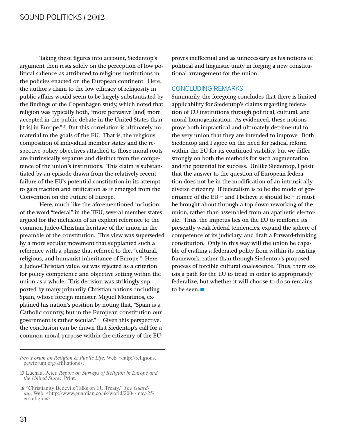Taking these figures into account, Siedentop's argument then rests solely on the perception of low political salience as attributed to religious institutions in the policies enacted on the European continent. Here, the author's claim to the low efficacy of religiosity in public affairs would seem to be largely substantiated by the findings of the Copenhagen study, which noted that religion was typically both, "more pervasive [and] more accepted in the public debate in the United States than [it is] in Europe."17 But this correlation is ultimately immaterial to the goals of the EU. That is, the religious composition of individual member states and the respective policy objectives attached to those moral roots are intrinsically separate and distinct from the competence of the union's institutions. This claim is substantiated by an episode drawn from the relatively recent failure of the EU's potential constitution in its attempt to gain traction and ratification as it emerged from the Convention on the Future of Europe.

Here, much like the aforementioned inclusion of the word "federal" in the TEU, several member states argued for the inclusion of an explicit reference to the common Judeo-Christian heritage of the union in the preamble of the constitution. This view was superseded by a more secular movement that supplanted such a reference with a phrase that referred to the, "cultural, religious, and humanist inheritance of Europe." Here, a Judeo-Christian value set was rejected as a criterion for policy competence and objective setting within the union as a whole. This decision was strikingly supported by many primarily Christian nations, including Spain, whose foreign minister, Miguel Moratinos, explained his nation's position by noting that, "Spain is a Catholic country, but in the European constitution our government is rather secular."18 Given this perspective, the conclusion can be drawn that Siedentop's call for a common moral purpose within the citizenry of the EU

*Pew Forum on Religion & Public Life. Web.* <http://religions. pewforum.org/affiliations>.

proves ineffectual and as unnecessary as his notions of political and linguistic unity in forging a new constitutional arrangement for the union.

#### CONCLUDING REMARKS

Summarily, the foregoing concludes that there is limited applicability for Siedentop's claims regarding federation of EU institutions through political, cultural, and moral homogenization. As evidenced, these notions prove both impractical and ultimately detrimental to the very union that they are intended to improve. Both Siedentop and I agree on the need for radical reform within the EU for its continued viability, but we differ strongly on both the methods for such augmentation and the potential for success. Unlike Siedentop, I posit that the answer to the question of European federation does not lie in the modification of an intrinsically diverse citizenry. If federalism is to be the mode of governance of the EU – and I believe it should be – it must be brought about through a top-down reworking of the union, rather than assembled from an apathetic electorate. Thus, the impetus lies on the EU to reinforce its presently weak federal tendencies, expand the sphere of competence of its judiciary, and draft a forward-thinking constitution. Only in this way will the union be capable of crafting a federated polity from within its existing framework, rather than through Siedentop's proposed process of forcible cultural coalescence. Thus, there exists a path for the EU to tread in order to appropriately federalize, but whether it will choose to do so remains to be seen. federalize, but whether it will choose to do so remains

<sup>17</sup> Lüchau, Peter. Report on Surveys of Religion in Europe and *the United States.* Print.

<sup>18 &</sup>quot;Christianity Bedevils Talks on EU Treaty." *The Guardian*. Web. <http://www.guardian.co.uk/world/2004/may/25/ eu.religion>.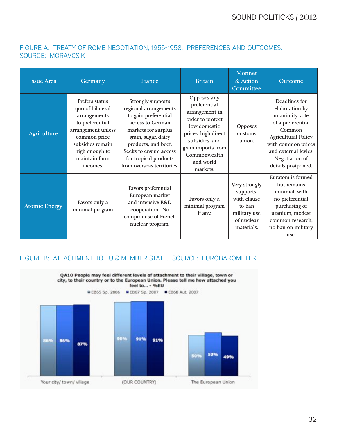#### FIGURE A: TREATY OF ROME NEGOTIATION, 1955-1958: PREFERENCES AND OUTCOMES. SOURCE: MORAVCSIK

| <b>Issue Area</b>    | Germany                                                                                                                                                                        | France                                                                                                                                                                                                                                              | <b>Britain</b>                                                                                                                                                                            | <b>Monnet</b><br>& Action<br>Committee                                                          | Outcome                                                                                                                                                                                              |
|----------------------|--------------------------------------------------------------------------------------------------------------------------------------------------------------------------------|-----------------------------------------------------------------------------------------------------------------------------------------------------------------------------------------------------------------------------------------------------|-------------------------------------------------------------------------------------------------------------------------------------------------------------------------------------------|-------------------------------------------------------------------------------------------------|------------------------------------------------------------------------------------------------------------------------------------------------------------------------------------------------------|
| Agriculture          | Prefers status<br>quo of bilateral<br>arrangements<br>to preferential<br>arrangement unless<br>common price<br>subsidies remain<br>high enough to<br>maintain farm<br>incomes. | <b>Strongly supports</b><br>regional arrangements<br>to gain preferential<br>access to German<br>markets for surplus<br>grain, sugar, dairy<br>products, and beef.<br>Seeks to ensure access<br>for tropical products<br>from overseas territories. | Opposes any<br>preferential<br>arrangement in<br>order to protect<br>low domestic<br>prices, high direct<br>subsidies, and<br>grain imports from<br>Commonwealth<br>and world<br>markets. | Opposes<br>customs<br>union.                                                                    | Deadlines for<br>elaboration by<br>unanimity vote<br>of a preferential<br>Common<br><b>Agricultural Policy</b><br>with common prices<br>and external levies.<br>Negotiation of<br>details postponed. |
| <b>Atomic Energy</b> | Favors only a<br>minimal program                                                                                                                                               | Favors preferential<br>European market<br>and intensive R&D<br>cooperation. No<br>compromise of French<br>nuclear program.                                                                                                                          | Favors only a<br>minimal program<br>if any.                                                                                                                                               | Very strongly<br>supports,<br>with clause<br>to ban<br>military use<br>of nuclear<br>materials. | Euratom is formed<br>but remains<br>minimal, with<br>no preferential<br>purchasing of<br>uranium, modest<br>common research.<br>no ban on military<br>use.                                           |

#### FIGURE B: ATTACHMENT TO EU & MEMBER STATE. SOURCE: EUROBAROMETER

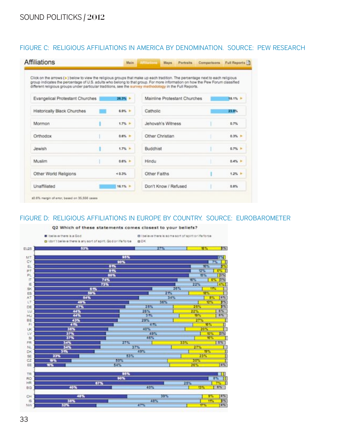#### FIGURE C: RELIGIOUS AFFILIATIONS IN AMERICA BY DENOMINATION. SOURCE: PEW RESEARCH

| Click on the arrows (>) below to view the religious groups that make up each tradition. The percentage next to each religious<br>group indicates the percentage of U.S. adults who belong to that group. For more information on how the Pew Forum classified<br>different religious groups under particular traditions, see the survey methodology in the Full Reports. |                  |                      |                   |                              |  |                  |
|--------------------------------------------------------------------------------------------------------------------------------------------------------------------------------------------------------------------------------------------------------------------------------------------------------------------------------------------------------------------------|------------------|----------------------|-------------------|------------------------------|--|------------------|
| Evangelical Protestant Churches                                                                                                                                                                                                                                                                                                                                          | $26.3\%$ }       |                      |                   | Mainline Protestant Churches |  | 18.1% +          |
| Historically Black Churches                                                                                                                                                                                                                                                                                                                                              | $6.9\%$ <b>F</b> | Catholic             |                   |                              |  | 23.9%            |
| Mormon                                                                                                                                                                                                                                                                                                                                                                   | $1.7% +$         |                      | Jehovah's Witness |                              |  | 0.7%             |
| Orthodox                                                                                                                                                                                                                                                                                                                                                                 | 0.6% P           |                      | Other Christian   |                              |  | $0.3\%$ <b>F</b> |
| Jewish                                                                                                                                                                                                                                                                                                                                                                   | $1.7%$ <b>F</b>  | Buddhist             |                   |                              |  | $0.7%$ }         |
| Muslim                                                                                                                                                                                                                                                                                                                                                                   | $0.6\%$ }        | Hindu                |                   |                              |  | $0.4%$ $+$       |
| Other World Religions                                                                                                                                                                                                                                                                                                                                                    | 40.3%            | Other Faiths         |                   |                              |  | $1.2\%$ $\pm$    |
| Unaffiliated                                                                                                                                                                                                                                                                                                                                                             | 16.1% >          | Don't Know / Refused |                   |                              |  | $0.8\%$          |

#### FIGURE D: RELIGIOUS AFFILIATIONS IN EUROPE BY COUNTRY. SOURCE: EUROBAROMETER

#### Q2 Which of these statements comes closest to your beliefs?

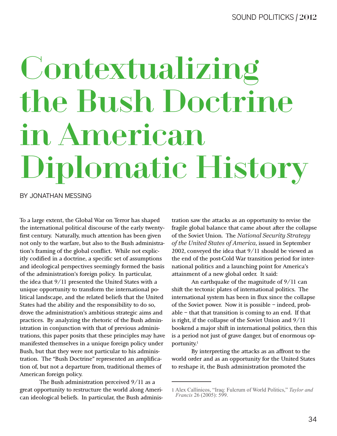# Contextualizing the Bush Doctrine in American Diplomatic History

BY JONATHAN MESSING

To a large extent, the Global War on Terror has shaped the international political discourse of the early twentyfirst century. Naturally, much attention has been given not only to the warfare, but also to the Bush administration's framing of the global conflict. While not explicitly codified in a doctrine, a specific set of assumptions and ideological perspectives seemingly formed the basis of the administration's foreign policy. In particular, the idea that 9/11 presented the United States with a unique opportunity to transform the international political landscape, and the related beliefs that the United States had the ability and the responsibility to do so, drove the administration's ambitious strategic aims and practices. By analyzing the rhetoric of the Bush administration in conjunction with that of previous administrations, this paper posits that these principles may have manifested themselves in a unique foreign policy under Bush, but that they were not particular to his administration. The "Bush Doctrine" represented an amplification of, but not a departure from, traditional themes of American foreign policy.

The Bush administration perceived 9/11 as a great opportunity to restructure the world along American ideological beliefs. In particular, the Bush administration saw the attacks as an opportunity to revise the fragile global balance that came about after the collapse of the Soviet Union. The *National Security Strategy* of the United States of America, issued in September 2002, conveyed the idea that 9/11 should be viewed as the end of the post-Cold War transition period for international politics and a launching point for America's attainment of a new global order. It said:

An earthquake of the magnitude of 9/11 can shift the tectonic plates of international politics. The international system has been in flux since the collapse of the Soviet power. Now it is possible – indeed, probable – that that transition is coming to an end. If that is right, if the collapse of the Soviet Union and 9/11 bookend a major shift in international politics, then this is a period not just of grave danger, but of enormous opportunity.<sup>1</sup>

By interpreting the attacks as an affront to the world order and as an opportunity for the United States to reshape it, the Bush administration promoted the

<sup>1</sup> Alex Callinicos, "Iraq: Fulcrum of World Politics," Taylor and *Francis* 26 (2005): 599.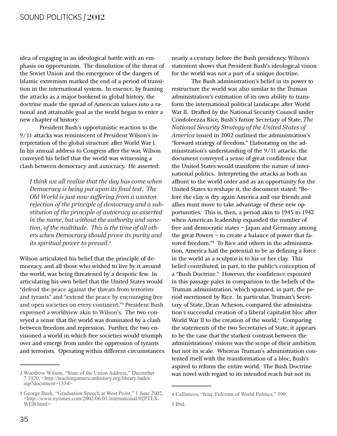idea of engaging in an ideological battle with an emphasis on opportunism. The dissolution of the threat of the Soviet Union and the emergence of the dangers of Islamic extremism marked the end of a period of transition in the international system. In essence, by framing the attacks as a major bookend in global history, the doctrine made the spread of American values into a rational and attainable goal as the world began to enter a new chapter of history.

President Bush's opportunistic reaction to the 9/11 attacks was reminiscent of President Wilson's interpretation of the global structure after World War I. In his annual address to Congress after the war, Wilson conveyed his belief that the world was witnessing a clash between democracy and autocracy. He asserted:

I think we all realize that the day has come when Democracy is being put upon its final test. The Old World is just now suffering from a wanton rejection of the principle of democracy and a substitution of the principle of autocracy as asserted in the name, but without the authority and sanction, of the multitude. This is the time of all others when Democracy should prove its purity and its spiritual power to prevail.<sup>2</sup>

Wilson articulated his belief that the principle of democracy, and all those who wished to live by it around the world, was being threatened by a despotic few. In articulating his own belief that the United States would "defend the peace against the threats from terrorists and tyrants" and "extend the peace by encouraging free and open societies on every continent,"<sup>3</sup> President Bush expressed a worldview akin to Wilson's. The two conveyed a sense that the world was dominated by a clash between freedom and repression. Further, the two envisioned a world in which free societies would triumph over and emerge from under the oppression of tyrants and terrorists. Operating within different circumstances

nearly a century before the Bush presidency, Wilson's statement shows that President Bush's ideological vision for the world was not a part of a unique doctrine.

The Bush administration's belief in its power to restructure the world was also similar to the Truman administration's estimation of its own ability to transform the international political landscape after World War II. Drafted by the National Security Council under Condoleezza Rice, Bush's future Secretary of State, The National Security Strategy of the United States of America issued in 2002 outlined the administration's "forward strategy of freedom." Elaborating on the administration's understanding of the 9/11 attacks, the document conveyed a sense of great confidence that the United States would transform the nature of international politics. Interpreting the attacks as both an affront to the world order and as an opportunity for the United States to reshape it, the document stated: "Before the clay is dry again America and our friends and allies must move to take advantage of these new opportunities. This is, then, a period akin to 1945 to 1947, when American leadership expanded the number of free and democratic states - Japan and Germany among the great Powers - to create a balance of power that favored freedom."4 To Rice and others in the administration, America had the potential to be as defining a force in the world as a sculptor is to his or her clay. This belief contributed, in part, to the public's conception of a "Bush Doctrine." However, the confidence espoused in this passage pales in comparison to the beliefs of the Truman administration, which spanned, in part, the period mentioned by Rice. In particular, Truman's Secretary of State, Dean Acheson, compared the administration's successful creation of a liberal capitalist bloc after World War II to the creation of the world.<sup>5</sup> Comparing the statements of the two Secretaries of State, it appears to be the case that the starkest contrast between the administrations' visions was the scope of their ambition but not its scale. Whereas Truman's administration contented itself with the transformation of a bloc, Bush's aspired to reform the entire world. The Bush Doctrine was novel with regard to its intended reach but not its

<sup>2</sup> Woodrow Wilson, "State of the Union Address," December 7 1920, <http://teachingamericanhistory.org/library/index. asp?document=1334>

<sup>3</sup> George Bush, "Graduation Speech at West Point," 1 June 2002, <http://www.nytimes.com/2002/06/01/international/02PTEX- $WE\hat{B}$ .html>

<sup>4</sup> Callinicos, "Iraq: Fulcrum of World Politics," 599.

<sup>5</sup> Ibid.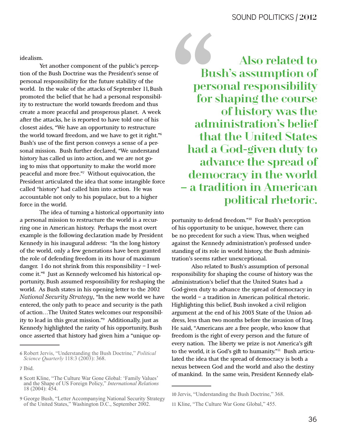idealism.

Yet another component of the public's perception of the Bush Doctrine was the President's sense of personal responsibility for the future stability of the world. In the wake of the attacks of September 11, Bush promoted the belief that he had a personal responsibility to restructure the world towards freedom and thus create a more peaceful and prosperous planet. A week after the attacks, he is reported to have told one of his closest aides, "We have an opportunity to restructure the world toward freedom, and we have to get it right."6 Bush's use of the first person conveys a sense of a personal mission. Bush further declared, "We understand history has called us into action, and we are not going to miss that opportunity to make the world more peaceful and more free."7 Without equivocation, the President articulated the idea that some intangible force called "history" had called him into action. He was accountable not only to his populace, but to a higher force in the world.

The idea of turning a historical opportunity into a personal mission to restructure the world is a recurring one in American history. Perhaps the most overt example is the following declaration made by President Kennedy in his inaugural address: "In the long history of the world, only a few generations have been granted the role of defending freedom in its hour of maximum danger. I do not shrink from this responsibility – I welcome it."8 Just as Kennedy welcomed his historical opportunity, Bush assumed responsibility for reshaping the world. As Bush states in his opening letter to the 2002 *National Security Strategy,* "In the new world we have entered, the only path to peace and security is the path of action…The United States welcomes our responsibility to lead in this great mission."9 Additionally, just as Kennedy highlighted the rarity of his opportunity, Bush once asserted that history had given him a "unique opAlso related to<br>Bush's assumption of<br>personal responsibility<br>for shaping the course<br>of history was the<br>administration's belief<br>that the United States Bush's assumption of personal responsibility for shaping the course of history was the administration's belief that the United States had a God-given duty to advance the spread of democracy in the world – a tradition in American political rhetoric.

portunity to defend freedom."10 For Bush's perception of his opportunity to be unique, however, there can be no precedent for such a view. Thus, when weighed against the Kennedy administration's professed understanding of its role in world history, the Bush administration's seems rather unexceptional.

Also related to Bush's assumption of personal responsibility for shaping the course of history was the administration's belief that the United States had a God-given duty to advance the spread of democracy in the world – a tradition in American political rhetoric. Highlighting this belief, Bush invoked a civil religion argument at the end of his 2003 State of the Union address, less than two months before the invasion of Iraq. He said, "Americans are a free people, who know that freedom is the right of every person and the future of every nation. The liberty we prize is not America's gift to the world, it is God's gift to humanity."11 Bush articulated the idea that the spread of democracy is both a nexus between God and the world and also the destiny of mankind. In the same vein, President Kennedy elab-

<sup>6</sup> Robert Jervis, "Understanding the Bush Doctrine," Political *Science Quarterly* 118:3 (2003): 368.

<sup>7</sup> Ibid.

<sup>8</sup> Scott Kline, "The Culture War Gone Global: 'Family Values' and the Shape of US Foreign Policy," International Relations 18 (2004): 454.

<sup>9</sup> George Bush, "Letter Accompanying National Security Strategy of the United States," Washington D.C., September 2002.

<sup>10</sup> Jervis, "Understanding the Bush Doctrine," 368.

<sup>11</sup> Kline, "The Culture War Gone Global," 455.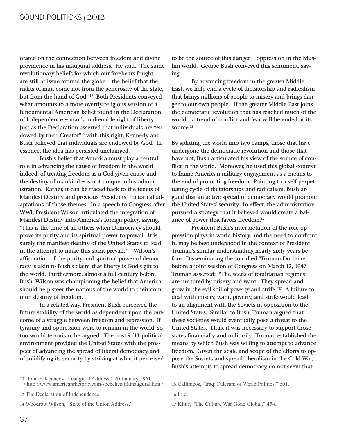orated on the connection between freedom and divine providence in his inaugural address. He said, "The same revolutionary beliefs for which our forebears fought are still at issue around the globe – the belief that the rights of man come not from the generosity of the state, but from the hand of God."12 Both Presidents conveyed what amounts to a more overtly religious version of a fundamental American belief found in the Declaration of Independence – man's inalienable right of liberty. Just as the Declaration asserted that individuals are "endowed by their Creator"13 with this right, Kennedy and Bush believed that individuals are endowed by God. In essence, the idea has persisted unchanged.

Bush's belief that America must play a central role in advancing the cause of freedom in the world – indeed, of treating freedom as a God-given cause and the destiny of mankind  $-$  is not unique to his administration. Rather, it can be traced back to the tenets of Manifest Destiny and previous Presidents' rhetorical adaptations of those themes. In a speech to Congress after WWI, President Wilson articulated the integration of Manifest Destiny into America's foreign policy, saying, "This is the time of all others when Democracy should prove its purity and its spiritual power to prevail. It is surely the manifest destiny of the United States to lead in the attempt to make this spirit prevail."14 Wilson's affirmation of the purity and spiritual power of democracy is akin to Bush's claim that liberty is God's gift to the world. Furthermore, almost a full century before Bush, Wilson was championing the belief that America should help steer the nations of the world to their common destiny of freedom.

In a related way, President Bush perceived the future stability of the world as dependent upon the outcome of a struggle between freedom and repression. If tyranny and oppression were to remain in the world, so too would terrorism, he argued. The post-9/11 political environment provided the United States with the prospect of advancing the spread of liberal democracy and of solidifying its security by striking at what it perceived

to be the source of this danger – oppression in the Muslim world. George Bush conveyed this sentiment, saying:

By advancing freedom in the greater Middle East, we help end a cycle of dictatorship and radicalism that brings millions of people to misery and brings danger to our own people…If the greater Middle East joins the democratic revolution that has reached much of the world…a trend of conflict and fear will be ended at its source.<sup>15</sup>

By splitting the world into two camps, those that have undergone the democratic revolution and those that have not, Bush articulated his view of the source of conflict in the world. Moreover, he used this global context to frame American military engagement as a means to the end of promoting freedom. Pointing to a self-perpetuating cycle of dictatorships and radicalism, Bush argued that an active spread of democracy would promote the United States' security. In effect, the administration pursued a strategy that it believed would create a balance of power that favors freedom.16

President Bush's interpretation of the role oppression plays in world history, and the need to confront it, may be best understood in the context of President Truman's similar understanding nearly sixty years before. Disseminating the so-called "Truman Doctrine" before a joint session of Congress on March 12, 1947, Truman asserted: "The seeds of totalitarian regimes are nurtured by misery and want. They spread and grow in the evil soil of poverty and strife."17 A failure to deal with misery, want, poverty, and strife would lead to an alignment with the Soviets in opposition to the United States. Similar to Bush, Truman argued that these societies would eventually pose a threat to the United States. Thus, it was necessary to support those states financially and militarily. Truman established the means by which Bush was willing to attempt to advance freedom. Given the scale and scope of the efforts to oppose the Soviets and spread liberalism in the Cold War, Bush's attempts to spread democracy do not seem that

<sup>12</sup> John F. Kennedy, "Inaugural Address," 20 January 1961, <http://www.americanrhetoric.com/speeches/jfkinaugural.htm>

<sup>13</sup> The Declaration of Independence.

<sup>14</sup> Woodrow Wilson, "State of the Union Address."

<sup>15</sup> Callinicos, "Iraq: Fulcrum of World Politics," 601.

<sup>16</sup> Ibid.

<sup>17</sup> Kline, "The Culture War Gone Global," 454.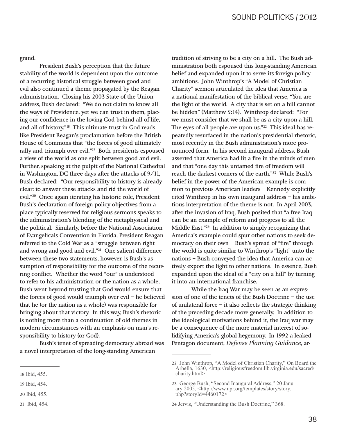grand.

President Bush's perception that the future stability of the world is dependent upon the outcome of a recurring historical struggle between good and evil also continued a theme propagated by the Reagan administration. Closing his 2003 State of the Union address, Bush declared: "We do not claim to know all the ways of Providence, yet we can trust in them, placing our confidence in the loving God behind all of life, and all of history."18 This ultimate trust in God reads like President Reagan's proclamation before the British House of Commons that "the forces of good ultimately rally and triumph over evil."19 Both presidents espoused a view of the world as one split between good and evil. Further, speaking at the pulpit of the National Cathedral in Washington, DC three days after the attacks of 9/11, Bush declared: "Our responsibility to history is already clear: to answer these attacks and rid the world of evil."20 Once again iterating his historic role, President Bush's declaration of foreign policy objectives from a place typically reserved for religious sermons speaks to the administration's blending of the metaphysical and the political. Similarly, before the National Association of Evangelicals Convention in Florida, President Reagan referred to the Cold War as a "struggle between right and wrong and good and evil."21 One salient difference between these two statements, however, is Bush's assumption of responsibility for the outcome of the recurring conflict. Whether the word "our" is understood to refer to his administration or the nation as a whole, Bush went beyond trusting that God would ensure that the forces of good would triumph over evil – he believed that he (or the nation as a whole) was responsible for bringing about that victory. In this way, Bush's rhetoric is nothing more than a continuation of old themes in modern circumstances with an emphasis on man's responsibility to history (or God).

Bush's tenet of spreading democracy abroad was a novel interpretation of the long-standing American

tradition of striving to be a city on a hill. The Bush administration both espoused this long-standing American belief and expanded upon it to serve its foreign policy ambitions. John Winthrop's "A Model of Christian Charity" sermon articulated the idea that America is a national manifestation of the biblical verse, "You are the light of the world. A city that is set on a hill cannot be hidden" (Matthew 5:14). Winthrop declared: "For we must consider that we shall be as a city upon a hill. The eyes of all people are upon us."<sup>22</sup> This ideal has repeatedly resurfaced in the nation's presidential rhetoric, most recently in the Bush administration's more pronounced form. In his second inaugural address, Bush asserted that America had lit a fire in the minds of men and that "one day this untamed fire of freedom will reach the darkest corners of the earth."23 While Bush's belief in the power of the American example is common to previous American leaders – Kennedy explicitly cited Winthrop in his own inaugural address – his ambitious interpretation of the theme is not. In April 2003, after the invasion of Iraq, Bush posited that "a free Iraq can be an example of reform and progress to all the Middle East."<sup>24</sup> In addition to simply recognizing that America's example could spur other nations to seek democracy on their own – Bush's spread of "fire" through the world is quite similar to Winthrop's "light" unto the nations – Bush conveyed the idea that America can actively export the light to other nations. In essence, Bush expanded upon the ideal of a "city on a hill" by turning it into an international franchise.

While the Iraq War may be seen as an expression of one of the tenets of the Bush Doctrine – the use of unilateral force – it also reflects the strategic thinking of the preceding decade more generally. In addition to the ideological motivations behind it, the Iraq war may be a consequence of the more material interest of solidifying America's global hegemony. In 1992 a leaked Pentagon document, *Defense Planning Guidance*, ar-

<sup>18</sup> Ibid, 455.

<sup>19</sup> Ibid, 454.

<sup>20</sup> Ibid, 455.

<sup>21</sup> Ibid, 454.

<sup>22</sup> John Winthrop, "A Model of Christian Charity," On Board the Arbella, 1630, <http://religiousfreedom.lib.virginia.edu/sacred/ charity.html>

<sup>23</sup> George Bush, "Second Inaugural Address," 20 January 2005, <http://www.npr.org/templates/story/story. php?storyId= $4460172$ 

<sup>24</sup> Jervis, "Understanding the Bush Doctrine," 368.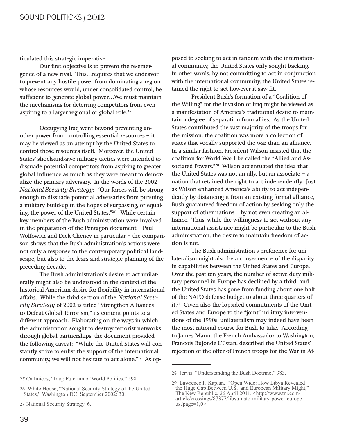ticulated this strategic imperative:

Our first objective is to prevent the re-emergence of a new rival. This…requires that we endeavor to prevent any hostile power from dominating a region whose resources would, under consolidated control, be sufficient to generate global power…We must maintain the mechanisms for deterring competitors from even aspiring to a larger regional or global role.<sup>25</sup>

Occupying Iraq went beyond preventing another power from controlling essential resources – it may be viewed as an attempt by the United States to control those resources itself. Moreover, the United States' shock-and-awe military tactics were intended to dissuade potential competitors from aspiring to greater global influence as much as they were meant to demoralize the primary adversary. In the words of the 2002 *National Security Strategy:* "Our forces will be strong enough to dissuade potential adversaries from pursuing a military build-up in the hopes of surpassing, or equaling, the power of the United States."26 While certain key members of the Bush administration were involved in the preparation of the Pentagon document – Paul Wolfowitz and Dick Cheney in particular – the comparison shows that the Bush administration's actions were not only a response to the contemporary political landscape, but also to the fears and strategic planning of the preceding decade.

The Bush administration's desire to act unilaterally might also be understood in the context of the historical American desire for flexibility in international affairs. While the third section of the *National Security Strategy* of 2002 is titled "Strengthen Alliances to Defeat Global Terrorism," its content points to a different approach. Elaborating on the ways in which the administration sought to destroy terrorist networks through global partnerships, the document provided the following caveat: "While the United States will constantly strive to enlist the support of the international community, we will not hesitate to act alone."27 As opposed to seeking to act in tandem with the international community, the United States only sought backing. In other words, by not committing to act in conjunction with the international community, the United States retained the right to act however it saw fit.

President Bush's formation of a "Coalition of the Willing" for the invasion of Iraq might be viewed as a manifestation of America's traditional desire to maintain a degree of separation from allies. As the United States contributed the vast majority of the troops for the mission, the coalition was more a collection of states that vocally supported the war than an alliance. In a similar fashion, President Wilson insisted that the coalition for World War I be called the "Allied and Associated Powers."28 Wilson accentuated the idea that the United States was not an ally, but an associate  $-$  a nation that retained the right to act independently. Just as Wilson enhanced America's ability to act independently by distancing it from an existing formal alliance, Bush guaranteed freedom of action by seeking only the support of other nations – by not even creating an alliance. Thus, while the willingness to act without any international assistance might be particular to the Bush administration, the desire to maintain freedom of action is not.

The Bush administration's preference for unilateralism might also be a consequence of the disparity in capabilities between the United States and Europe. Over the past ten years, the number of active duty military personnel in Europe has declined by a third, and the United States has gone from funding about one half of the NATO defense budget to about three quarters of it.29 Given also the lopsided commitments of the United States and Europe to the "joint" military interventions of the 1990s, unilateralism may indeed have been the most rational course for Bush to take. According to James Mann, the French Ambassador to Washington, Francois Bujonde L'Estan, described the United States' rejection of the offer of French troops for the War in Af-

<sup>25</sup> Callinicos, "Iraq: Fulcrum of World Politics," 598.

<sup>26</sup> White House, "National Security Strategy of the United States," Washington DC: September 2002: 30.

<sup>27</sup> National Security Strategy, 6.

<sup>28</sup> Jervis, "Understanding the Bush Doctrine," 383.

<sup>29</sup> Lawrence F. Kaplan. "Open Wide: How Libya Revealed the Huge Gap Between U.S. and European Military Might," The New Republic, 26 April 2011,  $\langle \text{http://www.tnr.com/} \rangle$ article/crossings/87377/libya-nato-military-power-europe $us?page=1,0>$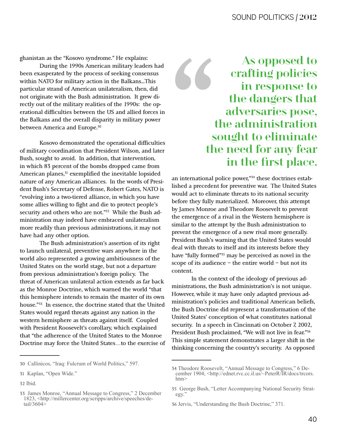ghanistan as the "Kosovo syndrome." He explains:

During the 1990s American military leaders had been exasperated by the process of seeking consensus within NATO for military action in the Balkans...This particular strand of American unilateralism, then, did not originate with the Bush administration. It grew directly out of the military realities of the 1990s: the operational difficulties between the US and allied forces in the Balkans and the overall disparity in military power between America and Europe.<sup>30</sup>

Kosovo demonstrated the operational difficulties of military coordination that President Wilson, and later Bush, sought to avoid. In addition, that intervention, in which 83 percent of the bombs dropped came from American planes,<sup>31</sup> exemplified the inevitable lopsided nature of any American alliances. In the words of President Bush's Secretary of Defense, Robert Gates, NATO is "evolving into a two-tiered alliance, in which you have some allies willing to fight and die to protect people's security and others who are not."<sup>32</sup> While the Bush administration may indeed have embraced unilateralism more readily than previous administrations, it may not have had any other option.

The Bush administration's assertion of its right to launch unilateral, preventive wars anywhere in the world also represented a growing ambitiousness of the United States on the world stage, but not a departure from previous administration's foreign policy. The threat of American unilateral action extends as far back as the Monroe Doctrine, which warned the world "that this hemisphere intends to remain the master of its own house."33 In essence, the doctrine stated that the United States would regard threats against any nation in the western hemisphere as threats against itself. Coupled with President Roosevelt's corollary, which explained that "the adherence of the United States to the Monroe Doctrine may force the United States...to the exercise of



an international police power,"34 these doctrines established a precedent for preventive war. The United States would act to eliminate threats to its national security before they fully materialized. Moreover, this attempt by James Monroe and Theodore Roosevelt to prevent the emergence of a rival in the Western hemisphere is similar to the attempt by the Bush administration to prevent the emergence of a new rival more generally. President Bush's warning that the United States would deal with threats to itself and its interests before they have "fully formed"<sup>35</sup> may be perceived as novel in the scope of its audience  $-$  the entire world  $-$  but not its content.

In the context of the ideology of previous administrations, the Bush administration's is not unique. However, while it may have only adapted previous administration's policies and traditional American beliefs, the Bush Doctrine did represent a transformation of the United States' conception of what constitutes national security. In a speech in Cincinnati on October 7, 2002, President Bush proclaimed, "We will not live in fear."36 This simple statement demonstrates a larger shift in the thinking concerning the country's security. As opposed

<sup>30</sup> Callinicos, "Iraq: Fulcrum of World Politics," 597.

<sup>31</sup> Kaplan, "Open Wide."

<sup>32</sup> Ibid.

<sup>33</sup> James Monroe, "Annual Message to Congress," 2 December 1823, <http://millercenter.org/scripps/archive/speeches/de $tail/3604$ 

<sup>34</sup> Theodore Roosevelt, "Annual Message to Congress," 6 December 1904, <http://ednet.rvc.cc.il.us/~PeterR/IR/docs/trcors.  $\text{htm}$ 

<sup>35</sup> George Bush, "Letter Accompanying National Security Strategy.

<sup>36</sup> Jervis, "Understanding the Bush Doctrine," 371.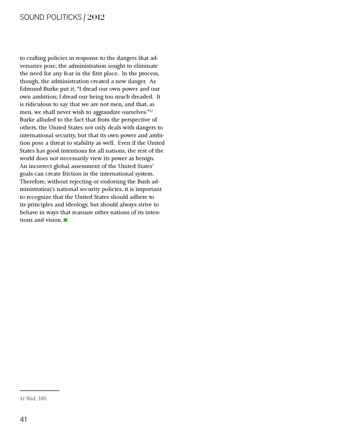#### SOUND POLITICKS | 2012

to crafting policies in response to the dangers that adversaries pose, the administration sought to eliminate the need for any fear in the first place. In the process, though, the administration created a new danger. As Edmund Burke put it, "I dread our own power and our own ambition; I dread our being too much dreaded. It is ridiculous to say that we are not men, and that, as men, we shall never wish to aggrandize ourselves."37 Burke alluded to the fact that from the perspective of others, the United States not only deals with dangers to international security, but that its own power and ambition pose a threat to stability as well. Even if the United States has good intentions for all nations, the rest of the world does not necessarily view its power as benign. An incorrect global assessment of the United States' goals can create friction in the international system. Therefore, without rejecting or endorsing the Bush administration's national security policies, it is important to recognize that the United States should adhere to its principles and ideology, but should always strive to behave in ways that reassure other nations of its intentions and vision. behave in ways that reassure other nations of its inten-

<sup>37</sup> Ibid, 380.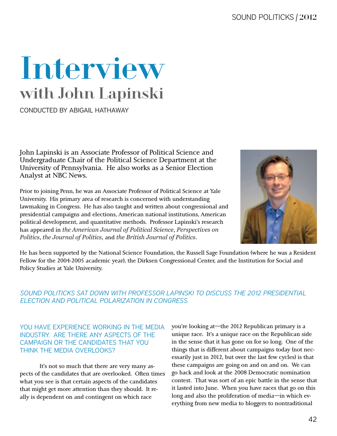#### SOUND POLITICKS | 2012

## Interview with John Lapinski

CONDUCTED BY ABIGAIL HATHAWAY

John Lapinski is an Associate Professor of Political Science and Undergraduate Chair of the Political Science Department at the University of Pennsylvania. He also works as a Senior Election Analyst at NBC News.

Prior to joining Penn, he was an Associate Professor of Political Science at Yale University. His primary area of research is concerned with understanding lawmaking in Congress. He has also taught and written about congressional and presidential campaigns and elections, American national institutions, American political development, and quantitative methods. Professor Lapinski's research has appeared in *the American Journal of Political Science, Perspectives on Politics, the Journal of Politics, and the British Journal of Politics.* 



He has been supported by the National Science Foundation, the Russell Sage Foundation (where he was a Resident Fellow for the 2004-2005 academic year), the Dirksen Congressional Center, and the Institution for Social and Policy Studies at Yale University.

#### *SOUND POLITICKS SAT DOWN WITH PROFESSOR LAPINSKI TO DISCUSS THE 2012 PRESIDENTIAL ELECTION AND POLITICAL POLARIZATION IN CONGRESS.*

#### YOU HAVE EXPERIENCE WORKING IN THE MEDIA INDUSTRY. ARE THERE ANY ASPECTS OF THE CAMPAIGN OR THE CANDIDATES THAT YOU THINK THE MEDIA OVERLOOKS?

It's not so much that there are very many aspects of the candidates that are overlooked. Often times what you see is that certain aspects of the candidates that might get more attention than they should. It really is dependent on and contingent on which race

you're looking at—the 2012 Republican primary is a unique race. It's a unique race on the Republican side in the sense that it has gone on for so long. One of the things that is different about campaigns today (not necessarily just in 2012, but over the last few cycles) is that these campaigns are going on and on and on. We can go back and look at the 2008 Democratic nomination contest. That was sort of an epic battle in the sense that it lasted into June. When you have races that go on this long and also the proliferation of media—in which everything from new media to bloggers to nontraditional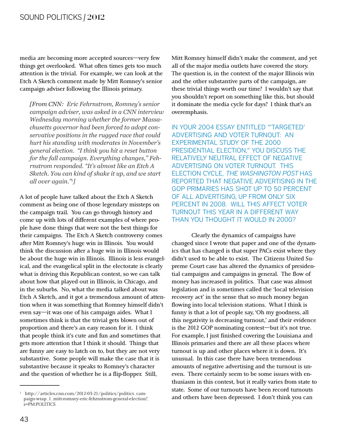media are becoming more accepted sources-very few things get overlooked. What often times gets too much attention is the trivial. For example, we can look at the Etch A Sketch comment made by Mitt Romney's senior campaign adviser following the Illinois primary.

[From CNN: Eric Fehrnstrom, Romney's senior campaign adviser, was asked in a CNN interview Wednesday morning whether the former Massachusetts governor had been forced to adopt conservative positions in the rugged race that could hurt his standing with moderates in November's general election. "I think you hit a reset button for the fall campaign. Everything changes," Fehrnstrom responded. "It's almost like an Etch A Sketch. You can kind of shake it up, and we start all over again."<sup>1</sup>]

A lot of people have talked about the Etch A Sketch comment as being one of those legendary missteps on the campaign trail. You can go through history and come up with lots of different examples of where people have done things that were not the best things for their campaigns. The Etch A Sketch controversy comes after Mitt Romney's huge win in Illinois. You would think the discussion after a huge win in Illinois would be about the huge win in Illinois. Illinois is less evangelical, and the evangelical split in the electorate is clearly what is driving this Republican contest, so we can talk about how that played out in Illinois, in Chicago, and in the suburbs. No, what the media talked about was Etch A Sketch, and it got a tremendous amount of attention when it was something that Romney himself didn't even say-it was one of his campaign aides. What I sometimes think is that the trivial gets blown out of proportion and there's an easy reason for it. I think that people think it's cute and fun and sometimes that gets more attention that I think it should. Things that are funny are easy to latch on to, but they are not very substantive. Some people will make the case that it is substantive because it speaks to Romney's character and the question of whether he is a flip-flopper. Still,

Mitt Romney himself didn't make the comment, and yet all of the major media outlets have covered the story. The question is, in the context of the major Illinois win and the other substantive parts of the campaign, are these trivial things worth our time? I wouldn't say that you shouldn't report on something like this, but should it dominate the media cycle for days? I think that's an overemphasis.

IN YOUR 2004 ESSAY ENTITLED "TARGETED' ADVERTISING AND VOTER TURNOUT: AN **EXPERIMENTAL STUDY OF THE 2000** PRESIDENTIAL ELECTION," YOU DISCUSS THE RELATIVELY NEUTRAL EFFECT OF NEGATIVE ADVERTISING ON VOTER TURNOUT. THIS **ELECTION CYCLE, THE WASHINGTON POST HAS** REPORTED THAT NEGATIVE ADVERTISING IN THE **GOP PRIMARIES HAS SHOT UP TO 50 PERCENT** OF ALL ADVERTISING, UP FROM ONLY SIX PERCENT IN 2008. WILL THIS AFFECT VOTER **TURNOUT THIS YEAR IN A DIFFERENT WAY** THAN YOU THOUGHT IT WOULD IN 2000?

Clearly the dynamics of campaigns have changed since I wrote that paper and one of the dynamics that has changed is that super PACs exist where they didn't used to be able to exist. The Citizens United Supreme Court case has altered the dynamics of presidential campaigns and campaigns in general. The flow of money has increased in politics. That case was almost legislation and is sometimes called the 'local television recovery act' in the sense that so much money began flowing into local television stations. What I think is funny is that a lot of people say, 'Oh my goodness, all this negativity is decreasing turnout,' and their evidence is the 2012 GOP nominating contest-but it's not true. For example, I just finished covering the Louisiana and Illinois primaries and there are all these places where turnout is up and other places where it is down. It's unusual. In this case there have been tremendous amounts of negative advertising and the turnout is uneven. There certainly seem to be some issues with enthusiasm in this contest, but it really varies from state to state. Some of our turnouts have been record turnouts and others have been depressed. I don't think you can

<sup>&</sup>lt;sup>1</sup> http://articles.cnn.com/2012-03-21/politics/politics\_campaign-wrap\_1\_mitt-romney-eric-fehrnstrom-general-election?\_  $s = PM$ : POLITICS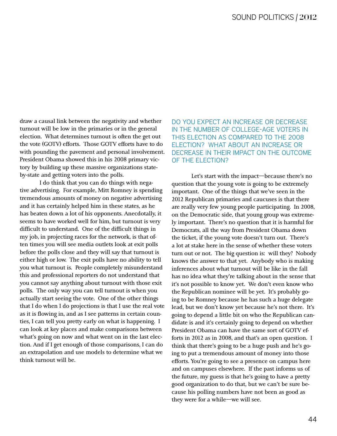draw a causal link between the negativity and whether turnout will be low in the primaries or in the general election. What determines turnout is often the get out the vote (GOTV) efforts. Those GOTV efforts have to do with pounding the pavement and personal involvement. President Obama showed this in his 2008 primary victory by building up these massive organizations stateby-state and getting voters into the polls.

I do think that you can do things with negative advertising. For example, Mitt Romney is spending tremendous amounts of money on negative advertising and it has certainly helped him in these states, as he has beaten down a lot of his opponents. Anecdotally, it seems to have worked well for him, but turnout is very difficult to understand. One of the difficult things in my job, in projecting races for the network, is that often times you will see media outlets look at exit polls before the polls close and they will say that turnout is either high or low. The exit polls have no ability to tell you what turnout is. People completely misunderstand this and professional reporters do not understand that you cannot say anything about turnout with those exit polls. The only way you can tell turnout is when you actually start seeing the vote. One of the other things that I do when I do projections is that I use the real vote as it is flowing in, and as I see patterns in certain counties, I can tell you pretty early on what is happening. I can look at key places and make comparisons between what's going on now and what went on in the last election. And if I get enough of those comparisons, I can do an extrapolation and use models to determine what we think turnout will be.

DO YOU EXPECT AN INCREASE OR DECREASE IN THE NUMBER OF COLLEGE-AGE VOTERS IN THIS ELECTION AS COMPARED TO THE 2008 ELECTION? WHAT ABOUT AN INCREASE OR DECREASE IN THEIR IMPACT ON THE OUTCOME OF THE ELECTION?

Let's start with the impact—because there's no question that the young vote is going to be extremely important. One of the things that we've seen in the 2012 Republican primaries and caucuses is that there are really very few young people participating. In 2008, on the Democratic side, that young group was extremely important. There's no question that it is harmful for Democrats, all the way from President Obama down the ticket, if the young vote doesn't turn out. There's a lot at stake here in the sense of whether these voters turn out or not. The big question is: will they? Nobody knows the answer to that yet. Anybody who is making inferences about what turnout will be like in the fall has no idea what they're talking about in the sense that it's not possible to know yet. We don't even know who the Republican nominee will be yet. It's probably going to be Romney because he has such a huge delegate lead, but we don't know yet because he's not there. It's going to depend a little bit on who the Republican candidate is and it's certainly going to depend on whether President Obama can have the same sort of GOTV efforts in 2012 as in 2008, and that's an open question. I think that there's going to be a huge push and he's going to put a tremendous amount of money into those efforts. You're going to see a presence on campus here and on campuses elsewhere. If the past informs us of the future, my guess is that he's going to have a pretty good organization to do that, but we can't be sure because his polling numbers have not been as good as they were for a while—we will see.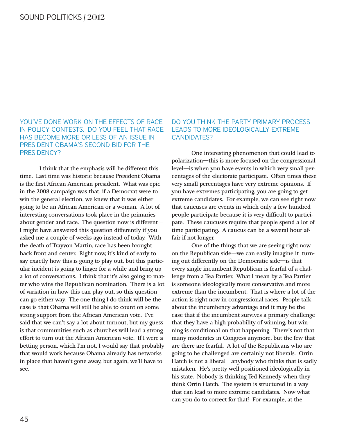YOU'VE DONE WORK ON THE EFFECTS OF RACE IN POLICY CONTESTS. DO YOU FEEL THAT RACE HAS BECOME MORE OR LESS OF AN ISSUE IN PRESIDENT OBAMA'S SECOND BID FOR THE PRESIDENCY?

I think that the emphasis will be different this time. Last time was historic because President Obama is the first African American president. What was epic in the 2008 campaign was that, if a Democrat were to win the general election, we knew that it was either going to be an African American or a woman. A lot of interesting conversations took place in the primaries about gender and race. The question now is different— I might have answered this question differently if you asked me a couple of weeks ago instead of today. With the death of Trayvon Martin, race has been brought back front and center. Right now, it's kind of early to say exactly how this is going to play out, but this particular incident is going to linger for a while and bring up a lot of conversations. I think that it's also going to matter who wins the Republican nomination. There is a lot of variation in how this can play out, so this question can go either way. The one thing I do think will be the case is that Obama will still be able to count on some strong support from the African American vote. I've said that we can't say a lot about turnout, but my guess is that communities such as churches will lead a strong effort to turn out the African American vote. If I were a betting person, which I'm not, I would say that probably that would work because Obama already has networks in place that haven't gone away, but again, we'll have to see.

#### DO YOU THINK THE PARTY PRIMARY PROCESS LEADS TO MORE IDEOLOGICALLY EXTREME CANDIDATES?

One interesting phenomenon that could lead to polarization—this is more focused on the congressional level—is when you have events in which very small percentages of the electorate participate. Often times these very small percentages have very extreme opinions. If you have extremes participating, you are going to get extreme candidates. For example, we can see right now that caucuses are events in which only a few hundred people participate because it is very difficult to participate. These caucuses require that people spend a lot of time participating. A caucus can be a several hour affair if not longer.

One of the things that we are seeing right now on the Republican side—we can easily imagine it turning out differently on the Democratic side—is that every single incumbent Republican is fearful of a challenge from a Tea Partier. What I mean by a Tea Partier is someone ideologically more conservative and more extreme than the incumbent. That is where a lot of the action is right now in congressional races. People talk about the incumbency advantage and it may be the case that if the incumbent survives a primary challenge that they have a high probability of winning, but winning is conditional on that happening. There's not that many moderates in Congress anymore, but the few that are there are fearful. A lot of the Republicans who are going to be challenged are certainly not liberals. Orrin Hatch is not a liberal—anybody who thinks that is sadly mistaken. He's pretty well positioned ideologically in his state. Nobody is thinking Ted Kennedy when they think Orrin Hatch. The system is structured in a way that can lead to more extreme candidates. Now what can you do to correct for that? For example, at the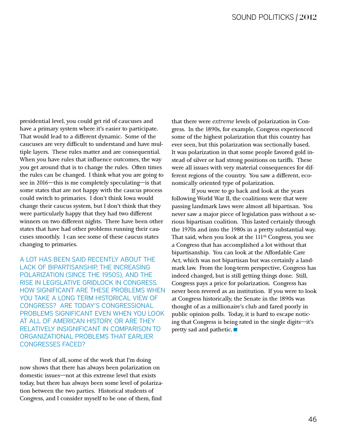presidential level, you could get rid of caucuses and have a primary system where it's easier to participate. That would lead to a different dynamic. Some of the caucuses are very difficult to understand and have multiple layers. These rules matter and are consequential. When you have rules that influence outcomes, the way you get around that is to change the rules. Often times the rules can be changed. I think what you are going to see in 2016—this is me completely speculating—is that some states that are not happy with the caucus process could switch to primaries. I don't think Iowa would change their caucus system, but I don't think that they were particularly happy that they had two different winners on two different nights. There have been other states that have had other problems running their caucuses smoothly. I can see some of these caucus states changing to primaries.

A LOT HAS BEEN SAID RECENTLY ABOUT THE LACK OF BIPARTISANSHIP, THE INCREASING POLARIZATION (SINCE THE 1950S), AND THE RISE IN LEGISLATIVE GRIDLOCK IN CONGRESS. HOW SIGNIFICANT ARE THESE PROBLEMS WHEN YOU TAKE A LONG TERM HISTORICAL VIEW OF CONGRESS? ARE TODAY'S CONGRESSIONAL PROBLEMS SIGNIFICANT EVEN WHEN YOU LOOK AT ALL OF AMERICAN HISTORY, OR ARE THEY RELATIVELY INSIGNIFICANT IN COMPARISON TO ORGANIZATIONAL PROBLEMS THAT EARLIER CONGRESSES FACED?

First of all, some of the work that I'm doing now shows that there has always been polarization on domestic issues—not at this extreme level that exists today, but there has always been some level of polarization between the two parties. Historical students of Congress, and I consider myself to be one of them, find

that there were *extreme* levels of polarization in Congress. In the 1890s, for example, Congress experienced some of the highest polarization that this country has ever seen, but this polarization was sectionally based. It was polarization in that some people favored gold instead of silver or had strong positions on tariffs. These were all issues with very material consequences for different regions of the country. You saw a different, economically oriented type of polarization.

If you were to go back and look at the years following World War II, the coalitions were that were passing landmark laws were almost all bipartisan. You never saw a major piece of legislation pass without a serious bipartisan coalition. This lasted certainly through the 1970s and into the 1980s in a pretty substantial way. That said, when you look at the  $111<sup>th</sup>$  Congress, you see a Congress that has accomplished a lot without that bipartisanship. You can look at the Affordable Care Act, which was not bipartisan but was certainly a landmark law. From the long-term perspective, Congress has indeed changed, but is still getting things done. Still, Congress pays a price for polarization. Congress has never been revered as an institution. If you were to look at Congress historically, the Senate in the 1890s was thought of as a millionaire's club and fared poorly in public opinion polls. Today, it is hard to escape noticing that Congress is being rated in the single digits—it pretty sad and pathetic. ing that Congress is being rated in the single digits—it's